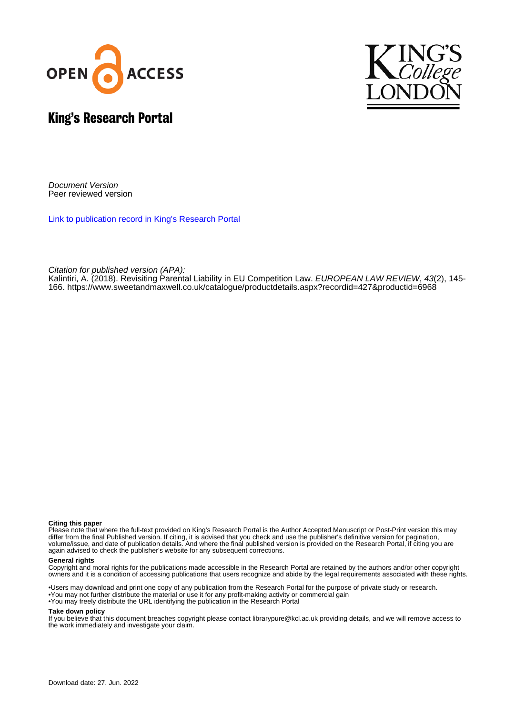



# King's Research Portal

Document Version Peer reviewed version

[Link to publication record in King's Research Portal](https://kclpure.kcl.ac.uk/portal/en/publications/revisiting-parental-liability-in-eu-competition-law(820d9515-be10-4ac7-8311-c13ff9b17c0e).html)

Citation for published version (APA):

[Kalintiri, A.](https://kclpure.kcl.ac.uk/portal/en/persons/andriani-kalintiri(33ef2233-3981-4739-9bbc-64d16e50e78b).html) (2018). [Revisiting Parental Liability in EU Competition Law.](https://kclpure.kcl.ac.uk/portal/en/publications/revisiting-parental-liability-in-eu-competition-law(820d9515-be10-4ac7-8311-c13ff9b17c0e).html) [EUROPEAN LAW REVIEW](https://kclpure.kcl.ac.uk/portal/en/journals/european-law-review(c21700cf-51f1-4750-9b52-fb7f35f06c93).html), 43(2), 145-166.<https://www.sweetandmaxwell.co.uk/catalogue/productdetails.aspx?recordid=427&productid=6968>

#### **Citing this paper**

Please note that where the full-text provided on King's Research Portal is the Author Accepted Manuscript or Post-Print version this may differ from the final Published version. If citing, it is advised that you check and use the publisher's definitive version for pagination, volume/issue, and date of publication details. And where the final published version is provided on the Research Portal, if citing you are again advised to check the publisher's website for any subsequent corrections.

#### **General rights**

Copyright and moral rights for the publications made accessible in the Research Portal are retained by the authors and/or other copyright owners and it is a condition of accessing publications that users recognize and abide by the legal requirements associated with these rights.

•Users may download and print one copy of any publication from the Research Portal for the purpose of private study or research. •You may not further distribute the material or use it for any profit-making activity or commercial gain •You may freely distribute the URL identifying the publication in the Research Portal

#### **Take down policy**

If you believe that this document breaches copyright please contact librarypure@kcl.ac.uk providing details, and we will remove access to the work immediately and investigate your claim.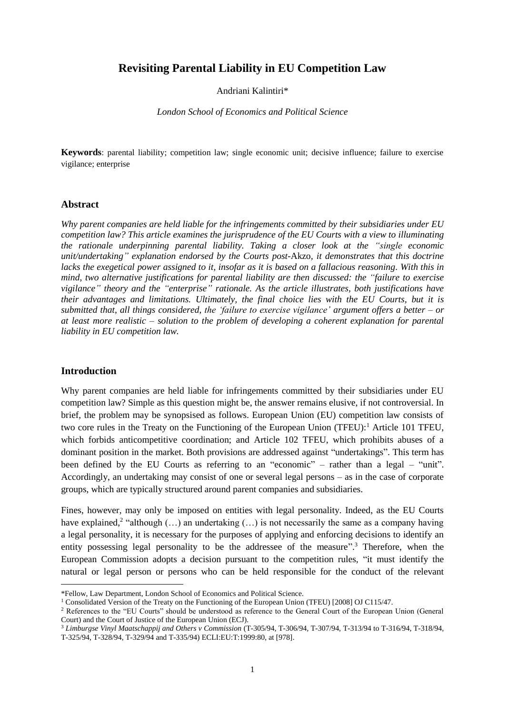## **Revisiting Parental Liability in EU Competition Law**

Andriani Kalintiri\*

*London School of Economics and Political Science*

**Keywords**: parental liability; competition law; single economic unit; decisive influence; failure to exercise vigilance; enterprise

#### **Abstract**

*Why parent companies are held liable for the infringements committed by their subsidiaries under EU competition law? This article examines the jurisprudence of the EU Courts with a view to illuminating the rationale underpinning parental liability. Taking a closer look at the "single economic unit/undertaking" explanation endorsed by the Courts post-*Akzo*, it demonstrates that this doctrine lacks the exegetical power assigned to it, insofar as it is based on a fallacious reasoning. With this in mind, two alternative justifications for parental liability are then discussed: the "failure to exercise vigilance" theory and the "enterprise" rationale. As the article illustrates, both justifications have their advantages and limitations. Ultimately, the final choice lies with the EU Courts, but it is submitted that, all things considered, the 'failure to exercise vigilance' argument offers a better – or at least more realistic – solution to the problem of developing a coherent explanation for parental liability in EU competition law.*

#### **Introduction**

**.** 

Why parent companies are held liable for infringements committed by their subsidiaries under EU competition law? Simple as this question might be, the answer remains elusive, if not controversial. In brief, the problem may be synopsised as follows. European Union (EU) competition law consists of two core rules in the Treaty on the Functioning of the European Union (TFEU):<sup>1</sup> Article 101 TFEU, which forbids anticompetitive coordination; and Article 102 TFEU, which prohibits abuses of a dominant position in the market. Both provisions are addressed against "undertakings". This term has been defined by the EU Courts as referring to an "economic" – rather than a legal – "unit". Accordingly, an undertaking may consist of one or several legal persons – as in the case of corporate groups, which are typically structured around parent companies and subsidiaries.

Fines, however, may only be imposed on entities with legal personality. Indeed, as the EU Courts have explained,<sup>2</sup> "although  $(...)$  an undertaking  $(...)$  is not necessarily the same as a company having a legal personality, it is necessary for the purposes of applying and enforcing decisions to identify an entity possessing legal personality to be the addressee of the measure".<sup>3</sup> Therefore, when the European Commission adopts a decision pursuant to the competition rules, "it must identify the natural or legal person or persons who can be held responsible for the conduct of the relevant

<sup>\*</sup>Fellow, Law Department, London School of Economics and Political Science.

<sup>1</sup> Consolidated Version of the Treaty on the Functioning of the European Union (TFEU) [2008] OJ C115/47.

<sup>&</sup>lt;sup>2</sup> References to the "EU Courts" should be understood as reference to the General Court of the European Union (General Court) and the Court of Justice of the European Union (ECJ).

<sup>3</sup> *Limburgse Vinyl Maatschappij and Others v Commission* (T-305/94, T-306/94, T-307/94, T-313/94 to T-316/94, T-318/94, T-325/94, T-328/94, T-329/94 and T-335/94) ECLI:EU:T:1999:80, at [978].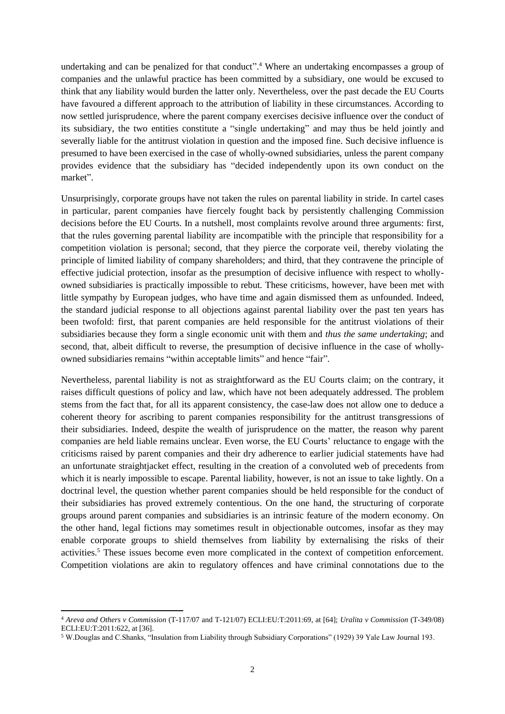undertaking and can be penalized for that conduct". <sup>4</sup> Where an undertaking encompasses a group of companies and the unlawful practice has been committed by a subsidiary, one would be excused to think that any liability would burden the latter only. Nevertheless, over the past decade the EU Courts have favoured a different approach to the attribution of liability in these circumstances. According to now settled jurisprudence, where the parent company exercises decisive influence over the conduct of its subsidiary, the two entities constitute a "single undertaking" and may thus be held jointly and severally liable for the antitrust violation in question and the imposed fine. Such decisive influence is presumed to have been exercised in the case of wholly-owned subsidiaries, unless the parent company provides evidence that the subsidiary has "decided independently upon its own conduct on the market".

Unsurprisingly, corporate groups have not taken the rules on parental liability in stride. In cartel cases in particular, parent companies have fiercely fought back by persistently challenging Commission decisions before the EU Courts. In a nutshell, most complaints revolve around three arguments: first, that the rules governing parental liability are incompatible with the principle that responsibility for a competition violation is personal; second, that they pierce the corporate veil, thereby violating the principle of limited liability of company shareholders; and third, that they contravene the principle of effective judicial protection, insofar as the presumption of decisive influence with respect to whollyowned subsidiaries is practically impossible to rebut. These criticisms, however, have been met with little sympathy by European judges, who have time and again dismissed them as unfounded. Indeed, the standard judicial response to all objections against parental liability over the past ten years has been twofold: first, that parent companies are held responsible for the antitrust violations of their subsidiaries because they form a single economic unit with them and *thus the same undertaking*; and second, that, albeit difficult to reverse, the presumption of decisive influence in the case of whollyowned subsidiaries remains "within acceptable limits" and hence "fair".

Nevertheless, parental liability is not as straightforward as the EU Courts claim; on the contrary, it raises difficult questions of policy and law, which have not been adequately addressed. The problem stems from the fact that, for all its apparent consistency, the case-law does not allow one to deduce a coherent theory for ascribing to parent companies responsibility for the antitrust transgressions of their subsidiaries. Indeed, despite the wealth of jurisprudence on the matter, the reason why parent companies are held liable remains unclear. Even worse, the EU Courts' reluctance to engage with the criticisms raised by parent companies and their dry adherence to earlier judicial statements have had an unfortunate straightjacket effect, resulting in the creation of a convoluted web of precedents from which it is nearly impossible to escape. Parental liability, however, is not an issue to take lightly. On a doctrinal level, the question whether parent companies should be held responsible for the conduct of their subsidiaries has proved extremely contentious. On the one hand, the structuring of corporate groups around parent companies and subsidiaries is an intrinsic feature of the modern economy. On the other hand, legal fictions may sometimes result in objectionable outcomes, insofar as they may enable corporate groups to shield themselves from liability by externalising the risks of their activities.<sup>5</sup> These issues become even more complicated in the context of competition enforcement. Competition violations are akin to regulatory offences and have criminal connotations due to the

**.** 

<sup>4</sup> *Areva and Others v Commission* (T-117/07 and T-121/07) ECLI:EU:T:2011:69, at [64]; *Uralita v Commission* (T-349/08) ECLI:EU:T:2011:622, at [36].

<sup>5</sup> W.Douglas and C.Shanks, "Insulation from Liability through Subsidiary Corporations" (1929) 39 Yale Law Journal 193.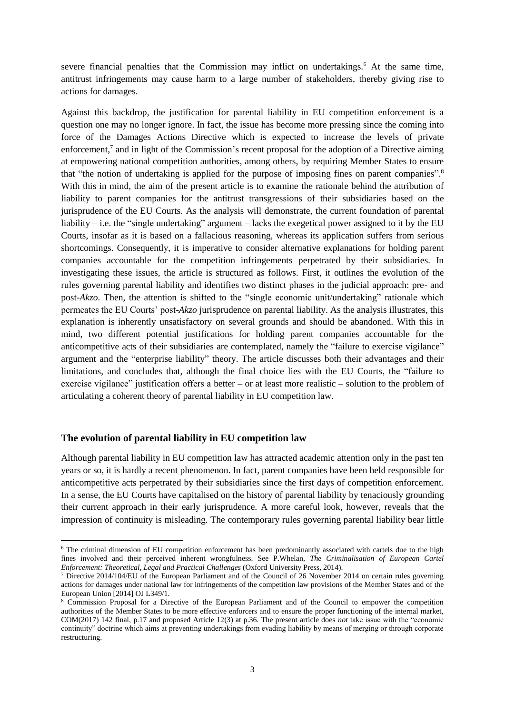severe financial penalties that the Commission may inflict on undertakings.<sup>6</sup> At the same time, antitrust infringements may cause harm to a large number of stakeholders, thereby giving rise to actions for damages.

Against this backdrop, the justification for parental liability in EU competition enforcement is a question one may no longer ignore. In fact, the issue has become more pressing since the coming into force of the Damages Actions Directive which is expected to increase the levels of private enforcement,<sup>7</sup> and in light of the Commission's recent proposal for the adoption of a Directive aiming at empowering national competition authorities, among others, by requiring Member States to ensure that "the notion of undertaking is applied for the purpose of imposing fines on parent companies".<sup>8</sup> With this in mind, the aim of the present article is to examine the rationale behind the attribution of liability to parent companies for the antitrust transgressions of their subsidiaries based on the jurisprudence of the EU Courts. As the analysis will demonstrate, the current foundation of parental liability – i.e. the "single undertaking" argument – lacks the exegetical power assigned to it by the EU Courts, insofar as it is based on a fallacious reasoning, whereas its application suffers from serious shortcomings. Consequently, it is imperative to consider alternative explanations for holding parent companies accountable for the competition infringements perpetrated by their subsidiaries. In investigating these issues, the article is structured as follows. First, it outlines the evolution of the rules governing parental liability and identifies two distinct phases in the judicial approach: pre- and post-*Akzo*. Then, the attention is shifted to the "single economic unit/undertaking" rationale which permeates the EU Courts' post-*Akzo* jurisprudence on parental liability. As the analysis illustrates, this explanation is inherently unsatisfactory on several grounds and should be abandoned. With this in mind, two different potential justifications for holding parent companies accountable for the anticompetitive acts of their subsidiaries are contemplated, namely the "failure to exercise vigilance" argument and the "enterprise liability" theory. The article discusses both their advantages and their limitations, and concludes that, although the final choice lies with the EU Courts, the "failure to exercise vigilance" justification offers a better – or at least more realistic – solution to the problem of articulating a coherent theory of parental liability in EU competition law.

#### **The evolution of parental liability in EU competition law**

**.** 

Although parental liability in EU competition law has attracted academic attention only in the past ten years or so, it is hardly a recent phenomenon. In fact, parent companies have been held responsible for anticompetitive acts perpetrated by their subsidiaries since the first days of competition enforcement. In a sense, the EU Courts have capitalised on the history of parental liability by tenaciously grounding their current approach in their early jurisprudence. A more careful look, however, reveals that the impression of continuity is misleading. The contemporary rules governing parental liability bear little

<sup>&</sup>lt;sup>6</sup> The criminal dimension of EU competition enforcement has been predominantly associated with cartels due to the high fines involved and their perceived inherent wrongfulness. See P.Whelan, *The Criminalisation of European Cartel Enforcement: Theoretical, Legal and Practical Challenges* (Oxford University Press, 2014).

 $7$  Directive 2014/104/EU of the European Parliament and of the Council of 26 November 2014 on certain rules governing actions for damages under national law for infringements of the competition law provisions of the Member States and of the European Union [2014] OJ L349/1.

<sup>8</sup> Commission Proposal for a Directive of the European Parliament and of the Council to empower the competition authorities of the Member States to be more effective enforcers and to ensure the proper functioning of the internal market, COM(2017) 142 final, p.17 and proposed Article 12(3) at p.36. The present article does *not* take issue with the "economic continuity" doctrine which aims at preventing undertakings from evading liability by means of merging or through corporate restructuring.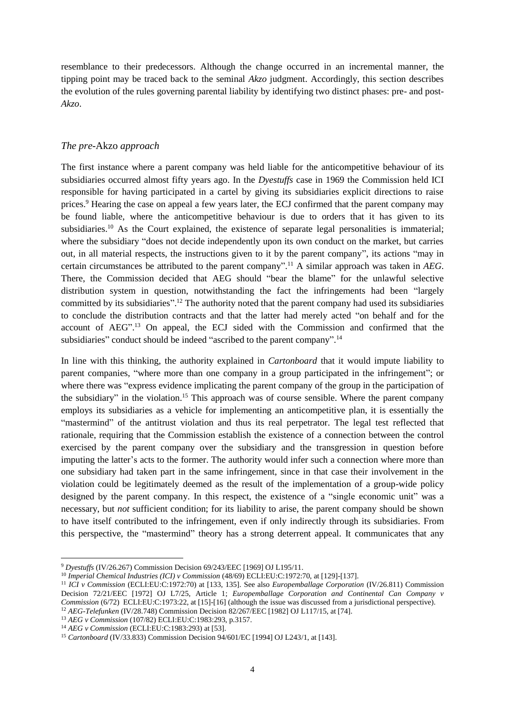resemblance to their predecessors. Although the change occurred in an incremental manner, the tipping point may be traced back to the seminal *Akzo* judgment. Accordingly, this section describes the evolution of the rules governing parental liability by identifying two distinct phases: pre- and post-*Akzo*.

### *The pre-*Akzo *approach*

The first instance where a parent company was held liable for the anticompetitive behaviour of its subsidiaries occurred almost fifty years ago. In the *Dyestuffs* case in 1969 the Commission held ICI responsible for having participated in a cartel by giving its subsidiaries explicit directions to raise prices.<sup>9</sup> Hearing the case on appeal a few years later, the ECJ confirmed that the parent company may be found liable, where the anticompetitive behaviour is due to orders that it has given to its subsidiaries.<sup>10</sup> As the Court explained, the existence of separate legal personalities is immaterial; where the subsidiary "does not decide independently upon its own conduct on the market, but carries out, in all material respects, the instructions given to it by the parent company", its actions "may in certain circumstances be attributed to the parent company". <sup>11</sup> A similar approach was taken in *AEG*. There, the Commission decided that AEG should "bear the blame" for the unlawful selective distribution system in question, notwithstanding the fact the infringements had been "largely committed by its subsidiaries".<sup>12</sup> The authority noted that the parent company had used its subsidiaries to conclude the distribution contracts and that the latter had merely acted "on behalf and for the account of AEG". <sup>13</sup> On appeal, the ECJ sided with the Commission and confirmed that the subsidiaries" conduct should be indeed "ascribed to the parent company".<sup>14</sup>

In line with this thinking, the authority explained in *Cartonboard* that it would impute liability to parent companies, "where more than one company in a group participated in the infringement"; or where there was "express evidence implicating the parent company of the group in the participation of the subsidiary" in the violation.<sup>15</sup> This approach was of course sensible. Where the parent company employs its subsidiaries as a vehicle for implementing an anticompetitive plan, it is essentially the "mastermind" of the antitrust violation and thus its real perpetrator. The legal test reflected that rationale, requiring that the Commission establish the existence of a connection between the control exercised by the parent company over the subsidiary and the transgression in question before imputing the latter's acts to the former. The authority would infer such a connection where more than one subsidiary had taken part in the same infringement, since in that case their involvement in the violation could be legitimately deemed as the result of the implementation of a group-wide policy designed by the parent company. In this respect, the existence of a "single economic unit" was a necessary, but *not* sufficient condition; for its liability to arise, the parent company should be shown to have itself contributed to the infringement, even if only indirectly through its subsidiaries. From this perspective, the "mastermind" theory has a strong deterrent appeal. It communicates that any

 $\overline{\phantom{a}}$ 

<sup>9</sup> *Dyestuffs* (IV/26.267) Commission Decision 69/243/EEC [1969] OJ L195/11.

<sup>10</sup> *Imperial Chemical Industries (ICI) v Commission* (48/69) ECLI:EU:C:1972:70, at [129]-[137].

<sup>11</sup> *ICI v Commission* (ECLI:EU:C:1972:70) at [133, 135]. See also *Europemballage Corporation* (IV/26.811) Commission Decision 72/21/EEC [1972] OJ L7/25, Article 1; *Europemballage Corporation and Continental Can Company v Commission* (6/72) ECLI:EU:C:1973:22, at [15]-[16] (although the issue was discussed from a jurisdictional perspective). <sup>12</sup> *AEG-Telefunken* (IV/28.748) Commission Decision 82/267/EEC [1982] OJ L117/15, at [74].

<sup>13</sup> *AEG v Commission* (107/82) ECLI:EU:C:1983:293, p.3157.

<sup>14</sup> *AEG v Commission* (ECLI:EU:C:1983:293) at [53].

<sup>15</sup> *Cartonboard* (IV/33.833) Commission Decision 94/601/EC [1994] OJ L243/1, at [143].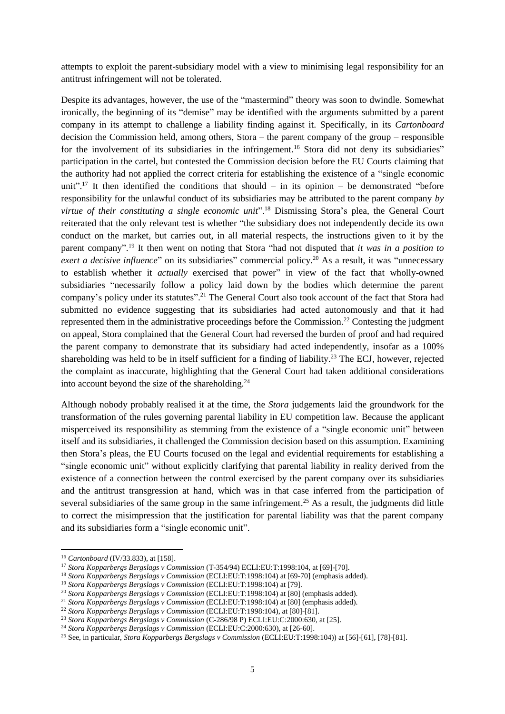attempts to exploit the parent-subsidiary model with a view to minimising legal responsibility for an antitrust infringement will not be tolerated.

Despite its advantages, however, the use of the "mastermind" theory was soon to dwindle. Somewhat ironically, the beginning of its "demise" may be identified with the arguments submitted by a parent company in its attempt to challenge a liability finding against it. Specifically, in its *Cartonboard* decision the Commission held, among others, Stora – the parent company of the group – responsible for the involvement of its subsidiaries in the infringement.<sup>16</sup> Stora did not deny its subsidiaries" participation in the cartel, but contested the Commission decision before the EU Courts claiming that the authority had not applied the correct criteria for establishing the existence of a "single economic unit".<sup>17</sup> It then identified the conditions that should – in its opinion – be demonstrated "before responsibility for the unlawful conduct of its subsidiaries may be attributed to the parent company *by virtue of their constituting a single economic unit*". <sup>18</sup> Dismissing Stora's plea, the General Court reiterated that the only relevant test is whether "the subsidiary does not independently decide its own conduct on the market, but carries out, in all material respects, the instructions given to it by the parent company". <sup>19</sup> It then went on noting that Stora "had not disputed that *it was in a position to*  exert a decisive influence" on its subsidiaries" commercial policy.<sup>20</sup> As a result, it was "unnecessary to establish whether it *actually* exercised that power" in view of the fact that wholly-owned subsidiaries "necessarily follow a policy laid down by the bodies which determine the parent company's policy under its statutes".<sup>21</sup> The General Court also took account of the fact that Stora had submitted no evidence suggesting that its subsidiaries had acted autonomously and that it had represented them in the administrative proceedings before the Commission.<sup>22</sup> Contesting the judgment on appeal, Stora complained that the General Court had reversed the burden of proof and had required the parent company to demonstrate that its subsidiary had acted independently, insofar as a 100% shareholding was held to be in itself sufficient for a finding of liability.<sup>23</sup> The ECJ, however, rejected the complaint as inaccurate, highlighting that the General Court had taken additional considerations into account beyond the size of the shareholding. $24$ 

Although nobody probably realised it at the time, the *Stora* judgements laid the groundwork for the transformation of the rules governing parental liability in EU competition law. Because the applicant misperceived its responsibility as stemming from the existence of a "single economic unit" between itself and its subsidiaries, it challenged the Commission decision based on this assumption. Examining then Stora's pleas, the EU Courts focused on the legal and evidential requirements for establishing a "single economic unit" without explicitly clarifying that parental liability in reality derived from the existence of a connection between the control exercised by the parent company over its subsidiaries and the antitrust transgression at hand, which was in that case inferred from the participation of several subsidiaries of the same group in the same infringement.<sup>25</sup> As a result, the judgments did little to correct the misimpression that the justification for parental liability was that the parent company and its subsidiaries form a "single economic unit".

**.** 

<sup>16</sup> *Cartonboard* (IV/33.833), at [158].

<sup>17</sup> *Stora Kopparbergs Bergslags v Commission* (T-354/94) ECLI:EU:T:1998:104, at [69]-[70].

<sup>18</sup> *Stora Kopparbergs Bergslags v Commission* (ECLI:EU:T:1998:104) at [69-70] (emphasis added).

<sup>19</sup> *Stora Kopparbergs Bergslags v Commission* (ECLI:EU:T:1998:104) at [79].

<sup>20</sup> *Stora Kopparbergs Bergslags v Commission* (ECLI:EU:T:1998:104) at [80] (emphasis added).

<sup>21</sup> *Stora Kopparbergs Bergslags v Commission* (ECLI:EU:T:1998:104) at [80] (emphasis added).

<sup>22</sup> *Stora Kopparbergs Bergslags v Commission* (ECLI:EU:T:1998:104), at [80]-[81].

<sup>23</sup> *Stora Kopparbergs Bergslags v Commission* (C-286/98 P) ECLI:EU:C:2000:630, at [25].

<sup>24</sup> *Stora Kopparbergs Bergslags v Commission* (ECLI:EU:C:2000:630), at [26-60].

<sup>25</sup> See, in particular, *Stora Kopparbergs Bergslags v Commission* (ECLI:EU:T:1998:104)) at [56]-[61], [78]-[81].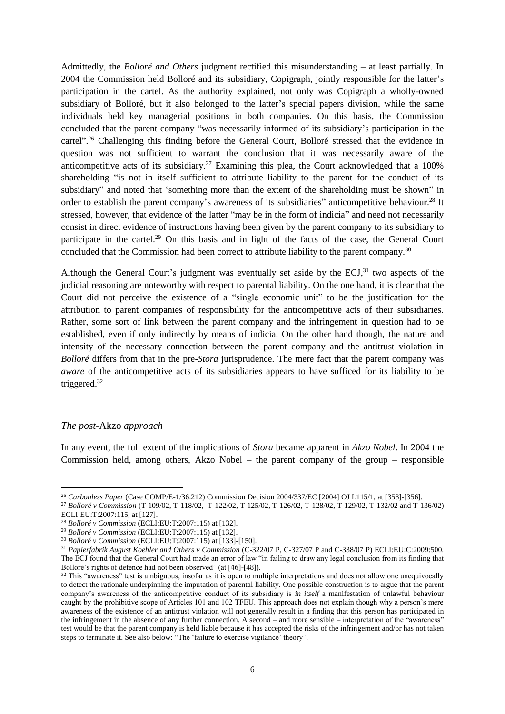Admittedly, the *Bolloré and Others* judgment rectified this misunderstanding – at least partially. In 2004 the Commission held Bolloré and its subsidiary, Copigraph, jointly responsible for the latter's participation in the cartel. As the authority explained, not only was Copigraph a wholly-owned subsidiary of Bolloré, but it also belonged to the latter's special papers division, while the same individuals held key managerial positions in both companies. On this basis, the Commission concluded that the parent company "was necessarily informed of its subsidiary's participation in the cartel".<sup>26</sup> Challenging this finding before the General Court, Bolloré stressed that the evidence in question was not sufficient to warrant the conclusion that it was necessarily aware of the anticompetitive acts of its subsidiary.<sup>27</sup> Examining this plea, the Court acknowledged that a  $100\%$ shareholding "is not in itself sufficient to attribute liability to the parent for the conduct of its subsidiary" and noted that 'something more than the extent of the shareholding must be shown" in order to establish the parent company's awareness of its subsidiaries" anticompetitive behaviour.<sup>28</sup> It stressed, however, that evidence of the latter "may be in the form of indicia" and need not necessarily consist in direct evidence of instructions having been given by the parent company to its subsidiary to participate in the cartel.<sup>29</sup> On this basis and in light of the facts of the case, the General Court concluded that the Commission had been correct to attribute liability to the parent company.<sup>30</sup>

Although the General Court's judgment was eventually set aside by the ECJ,<sup>31</sup> two aspects of the judicial reasoning are noteworthy with respect to parental liability. On the one hand, it is clear that the Court did not perceive the existence of a "single economic unit" to be the justification for the attribution to parent companies of responsibility for the anticompetitive acts of their subsidiaries. Rather, some sort of link between the parent company and the infringement in question had to be established, even if only indirectly by means of indicia. On the other hand though, the nature and intensity of the necessary connection between the parent company and the antitrust violation in *Bolloré* differs from that in the pre-*Stora* jurisprudence. The mere fact that the parent company was *aware* of the anticompetitive acts of its subsidiaries appears to have sufficed for its liability to be triggered.<sup>32</sup>

#### *The post-*Akzo *approach*

 $\overline{\phantom{a}}$ 

In any event, the full extent of the implications of *Stora* became apparent in *Akzo Nobel*. In 2004 the Commission held, among others, Akzo Nobel – the parent company of the group – responsible

<sup>26</sup> *Carbonless Paper* (Case COMP/E-1/36.212) Commission Decision 2004/337/EC [2004] OJ L115/1, at [353]-[356].

<sup>27</sup> *Bolloré v Commission* (T-109/02, T-118/02, T-122/02, T-125/02, T-126/02, T-128/02, T-129/02, T-132/02 and T-136/02) ECLI:EU:T:2007:115, at [127].

<sup>28</sup> *Bolloré v Commission* (ECLI:EU:T:2007:115) at [132].

<sup>29</sup> *Bolloré v Commission* (ECLI:EU:T:2007:115) at [132].

<sup>30</sup> *Bolloré v Commission* (ECLI:EU:T:2007:115) at [133]-[150].

<sup>31</sup> *Papierfabrik August Koehler and Others v Commission* (C-322/07 P, C-327/07 P and C-338/07 P) ECLI:EU:C:2009:500. The ECJ found that the General Court had made an error of law "in failing to draw any legal conclusion from its finding that Bolloré's rights of defence had not been observed" (at [46]-[48]).

 $32$  This "awareness" test is ambiguous, insofar as it is open to multiple interpretations and does not allow one unequivocally to detect the rationale underpinning the imputation of parental liability. One possible construction is to argue that the parent company's awareness of the anticompetitive conduct of its subsidiary is *in itself* a manifestation of unlawful behaviour caught by the prohibitive scope of Articles 101 and 102 TFEU. This approach does not explain though why a person's mere awareness of the existence of an antitrust violation will not generally result in a finding that this person has participated in the infringement in the absence of any further connection. A second – and more sensible – interpretation of the "awareness" test would be that the parent company is held liable because it has accepted the risks of the infringement and/or has not taken steps to terminate it. See also below: "The 'failure to exercise vigilance' theory".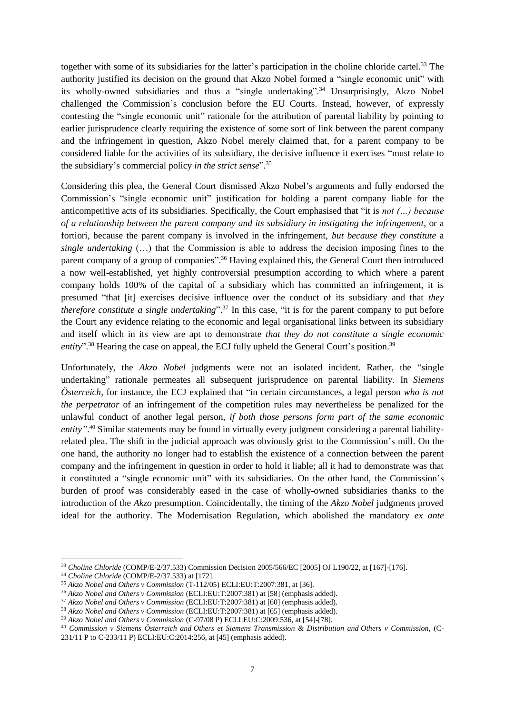together with some of its subsidiaries for the latter's participation in the choline chloride cartel.<sup>33</sup> The authority justified its decision on the ground that Akzo Nobel formed a "single economic unit" with its wholly-owned subsidiaries and thus a "single undertaking". <sup>34</sup> Unsurprisingly, Akzo Nobel challenged the Commission's conclusion before the EU Courts. Instead, however, of expressly contesting the "single economic unit" rationale for the attribution of parental liability by pointing to earlier jurisprudence clearly requiring the existence of some sort of link between the parent company and the infringement in question, Akzo Nobel merely claimed that, for a parent company to be considered liable for the activities of its subsidiary, the decisive influence it exercises "must relate to the subsidiary's commercial policy *in the strict sense*". 35

Considering this plea, the General Court dismissed Akzo Nobel's arguments and fully endorsed the Commission's "single economic unit" justification for holding a parent company liable for the anticompetitive acts of its subsidiaries. Specifically, the Court emphasised that "it is *not (…) because of a relationship between the parent company and its subsidiary in instigating the infringement*, or a fortiori, because the parent company is involved in the infringement, *but because they constitute* a *single undertaking* (…) that the Commission is able to address the decision imposing fines to the parent company of a group of companies".<sup>36</sup> Having explained this, the General Court then introduced a now well-established, yet highly controversial presumption according to which where a parent company holds 100% of the capital of a subsidiary which has committed an infringement, it is presumed "that [it] exercises decisive influence over the conduct of its subsidiary and that *they therefore constitute a single undertaking*". <sup>37</sup> In this case, "it is for the parent company to put before the Court any evidence relating to the economic and legal organisational links between its subsidiary and itself which in its view are apt to demonstrate *that they do not constitute a single economic*  entity".<sup>38</sup> Hearing the case on appeal, the ECJ fully upheld the General Court's position.<sup>39</sup>

Unfortunately, the *Akzo Nobel* judgments were not an isolated incident. Rather, the "single undertaking" rationale permeates all subsequent jurisprudence on parental liability. In *Siemens Österreich*, for instance, the ECJ explained that "in certain circumstances, a legal person *who is not the perpetrator* of an infringement of the competition rules may nevertheless be penalized for the unlawful conduct of another legal person, *if both those persons form part of the same economic*  entity".<sup>40</sup> Similar statements may be found in virtually every judgment considering a parental liabilityrelated plea. The shift in the judicial approach was obviously grist to the Commission's mill. On the one hand, the authority no longer had to establish the existence of a connection between the parent company and the infringement in question in order to hold it liable; all it had to demonstrate was that it constituted a "single economic unit" with its subsidiaries. On the other hand, the Commission's burden of proof was considerably eased in the case of wholly-owned subsidiaries thanks to the introduction of the *Akzo* presumption. Coincidentally, the timing of the *Akzo Nobel* judgments proved ideal for the authority. The Modernisation Regulation, which abolished the mandatory *ex ante*

 $\overline{\phantom{a}}$ 

<sup>33</sup> *Choline Chloride* (COMP/E-2/37.533) Commission Decision 2005/566/EC [2005] OJ L190/22, at [167]-[176].

<sup>34</sup> *Choline Chloride* (COMP/E-2/37.533) at [172].

<sup>35</sup> *Akzo Nobel and Others v Commission* (T-112/05) ECLI:EU:T:2007:381, at [36].

<sup>36</sup> *Akzo Nobel and Others v Commission* (ECLI:EU:T:2007:381) at [58] (emphasis added).

<sup>37</sup> *Akzo Nobel and Others v Commission* (ECLI:EU:T:2007:381) at [60] (emphasis added).

<sup>38</sup> *Akzo Nobel and Others v Commission* (ECLI:EU:T:2007:381) at [65] (emphasis added).

<sup>39</sup> *Akzo Nobel and Others v Commission* (C-97/08 P) ECLI:EU:C:2009:536, at [54]-[78].

<sup>40</sup> *Commission v Siemens Österreich and Others et Siemens Transmission & Distribution and Others v Commission*, (C-231/11 P to C-233/11 P) ECLI:EU:C:2014:256, at [45] (emphasis added).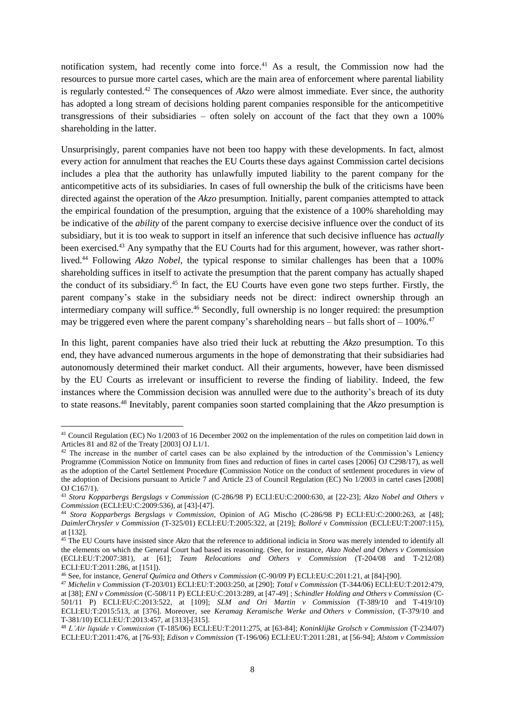notification system, had recently come into force.<sup>41</sup> As a result, the Commission now had the resources to pursue more cartel cases, which are the main area of enforcement where parental liability is regularly contested. <sup>42</sup> The consequences of *Akzo* were almost immediate. Ever since, the authority has adopted a long stream of decisions holding parent companies responsible for the anticompetitive transgressions of their subsidiaries – often solely on account of the fact that they own a 100% shareholding in the latter.

Unsurprisingly, parent companies have not been too happy with these developments. In fact, almost every action for annulment that reaches the EU Courts these days against Commission cartel decisions includes a plea that the authority has unlawfully imputed liability to the parent company for the anticompetitive acts of its subsidiaries. In cases of full ownership the bulk of the criticisms have been directed against the operation of the *Akzo* presumption. Initially, parent companies attempted to attack the empirical foundation of the presumption, arguing that the existence of a 100% shareholding may be indicative of the *ability* of the parent company to exercise decisive influence over the conduct of its subsidiary, but it is too weak to support in itself an inference that such decisive influence has *actually* been exercised.<sup>43</sup> Any sympathy that the EU Courts had for this argument, however, was rather shortlived.<sup>44</sup> Following *Akzo Nobel*, the typical response to similar challenges has been that a 100% shareholding suffices in itself to activate the presumption that the parent company has actually shaped the conduct of its subsidiary.<sup>45</sup> In fact, the EU Courts have even gone two steps further. Firstly, the parent company's stake in the subsidiary needs not be direct: indirect ownership through an intermediary company will suffice.<sup>46</sup> Secondly, full ownership is no longer required: the presumption may be triggered even where the parent company's shareholding nears – but falls short of  $-100\%$ <sup>47</sup>

In this light, parent companies have also tried their luck at rebutting the *Akzo* presumption. To this end, they have advanced numerous arguments in the hope of demonstrating that their subsidiaries had autonomously determined their market conduct. All their arguments, however, have been dismissed by the EU Courts as irrelevant or insufficient to reverse the finding of liability. Indeed, the few instances where the Commission decision was annulled were due to the authority's breach of its duty to state reasons. <sup>48</sup> Inevitably, parent companies soon started complaining that the *Akzo* presumption is

1

<sup>46</sup> See, for instance, *General Química and Others v Commission* (C-90/09 P) ECLI:EU:C:2011:21, at [84]-[90].

<sup>&</sup>lt;sup>41</sup> Council Regulation (EC) No 1/2003 of 16 December 2002 on the implementation of the rules on competition laid down in Articles 81 and 82 of the Treaty [2003] OJ L1/1.

<sup>&</sup>lt;sup>42</sup> The increase in the number of cartel cases can be also explained by the introduction of the Commission's Leniency Programme (Commission Notice on Immunity from fines and reduction of fines in cartel cases [2006] OJ C298/17), as well as the adoption of the Cartel Settlement Procedure **(**Commission Notice on the conduct of settlement procedures in view of the adoption of Decisions pursuant to Article 7 and Article 23 of Council Regulation (EC) No 1/2003 in cartel cases [2008] OJ C167/1).

<sup>43</sup> *Stora Kopparbergs Bergslags v Commission* (C-286/98 P) ECLI:EU:C:2000:630, at [22-23]; *Akzo Nobel and Others v Commission* (ECLI:EU:C:2009:536), at [43]-[47].

<sup>44</sup> *Stora Kopparbergs Bergslags v Commission*, Opinion of AG Mischo (C-286/98 P) ECLI:EU:C:2000:263, at [48]; *DaimlerChrysler v Commission* (T-325/01) ECLI:EU:T:2005:322, at [219]; *Bolloré v Commission* (ECLI:EU:T:2007:115), at [132].

<sup>45</sup> The EU Courts have insisted since *Akzo* that the reference to additional indicia in *Stora* was merely intended to identify all the elements on which the General Court had based its reasoning. (See, for instance, *Akzo Nobel and Others v Commission*  (ECLI:EU:T:2007:381), at [61]; *Team Relocations and Others v Commission* (T-204/08 and T-212/08) ECLI:EU:T:2011:286, at [151]).

<sup>47</sup> *Michelin v Commission* (T-203/01) ECLI:EU:T:2003:250, at [290]; *Total v Commission* (T-344/06) ECLI:EU:T:2012:479, at [38]; *ENI v Commission* (C-508/11 P) ECLI:EU:C:2013:289, at [47-49] ; *Schindler Holding and Others v Commission* (C-501/11 P) ECLI:EU:C:2013:522, at [109]; *SLM and Ori Martin v Commission* (T-389/10 and T-419/10) ECLI:EU:T:2015:513, at [376]. Moreover, see *Keramag Keramische Werke and Others v Commission*, (T-379/10 and T-381/10) ECLI:EU:T:2013:457, at [313]-[315].

<sup>48</sup> *L'Air liquide v Commission* (T-185/06) ECLI:EU:T:2011:275, at [63-84]; *Koninklijke Grolsch v Commission* (T-234/07) ECLI:EU:T:2011:476, at [76-93]; *Edison v Commission* (T-196/06) ECLI:EU:T:2011:281, at [56-94]; *Alstom v Commission*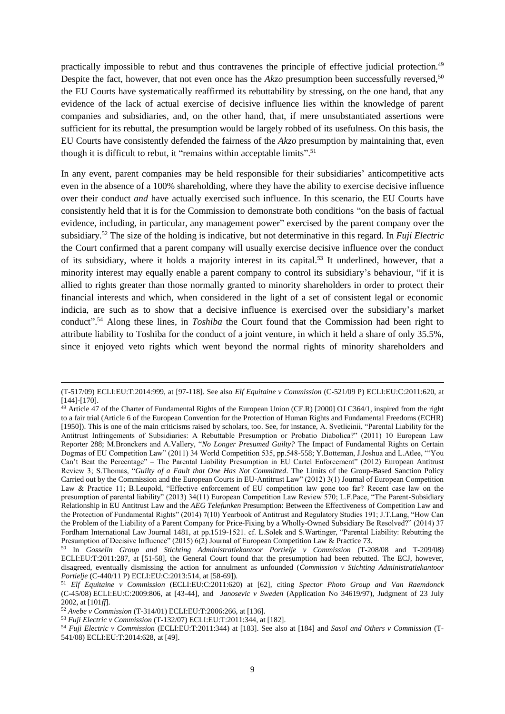practically impossible to rebut and thus contravenes the principle of effective judicial protection.<sup>49</sup> Despite the fact, however, that not even once has the *Akzo* presumption been successfully reversed,<sup>50</sup> the EU Courts have systematically reaffirmed its rebuttability by stressing, on the one hand, that any evidence of the lack of actual exercise of decisive influence lies within the knowledge of parent companies and subsidiaries, and, on the other hand, that, if mere unsubstantiated assertions were sufficient for its rebuttal, the presumption would be largely robbed of its usefulness. On this basis, the EU Courts have consistently defended the fairness of the *Akzo* presumption by maintaining that, even though it is difficult to rebut, it "remains within acceptable limits".<sup>51</sup>

In any event, parent companies may be held responsible for their subsidiaries' anticompetitive acts even in the absence of a 100% shareholding, where they have the ability to exercise decisive influence over their conduct *and* have actually exercised such influence. In this scenario, the EU Courts have consistently held that it is for the Commission to demonstrate both conditions "on the basis of factual evidence, including, in particular, any management power" exercised by the parent company over the subsidiary.<sup>52</sup> The size of the holding is indicative, but not determinative in this regard. In *Fuji Electric* the Court confirmed that a parent company will usually exercise decisive influence over the conduct of its subsidiary, where it holds a majority interest in its capital.<sup>53</sup> It underlined, however, that a minority interest may equally enable a parent company to control its subsidiary's behaviour, "if it is allied to rights greater than those normally granted to minority shareholders in order to protect their financial interests and which, when considered in the light of a set of consistent legal or economic indicia, are such as to show that a decisive influence is exercised over the subsidiary's market conduct". <sup>54</sup> Along these lines, in *Toshiba* the Court found that the Commission had been right to attribute liability to Toshiba for the conduct of a joint venture, in which it held a share of only 35.5%, since it enjoyed veto rights which went beyond the normal rights of minority shareholders and

1

<sup>(</sup>T-517/09) ECLI:EU:T:2014:999, at [97-118]. See also *Elf Equitaine v Commission* (C-521/09 P) ECLI:EU:C:2011:620, at [144]-[170].

 $49$  Article 47 of the Charter of Fundamental Rights of the European Union (CF.R) [2000] OJ C364/1, inspired from the right to a fair trial (Article 6 of the European Convention for the Protection of Human Rights and Fundamental Freedoms (ECHR) [1950]). This is one of the main criticisms raised by scholars, too. See, for instance, A. Svetlicinii, "Parental Liability for the Antitrust Infringements of Subsidiaries: A Rebuttable Presumption or Probatio Diabolica?" (2011) 10 European Law Reporter 288; M.Bronckers and A.Vallery, "*No Longer Presumed Guilty?* The Impact of Fundamental Rights on Certain Dogmas of EU Competition Law" (2011) 34 World Competition 535, pp.548-558; Y.Botteman, J.Joshua and L.Atlee, "'You Can't Beat the Percentage" – The Parental Liability Presumption in EU Cartel Enforcement" (2012) European Antitrust Review 3; S.Thomas, "*Guilty of a Fault that One Has Not Committed*. The Limits of the Group-Based Sanction Policy Carried out by the Commission and the European Courts in EU-Antitrust Law" (2012) 3(1) Journal of European Competition Law & Practice 11; B.Leupold, "Effective enforcement of EU competition law gone too far? Recent case law on the presumption of parental liability" (2013) 34(11) European Competition Law Review 570; L.F.Pace, "The Parent-Subsidiary Relationship in EU Antitrust Law and the *AEG Telefunken* Presumption: Between the Effectiveness of Competition Law and the Protection of Fundamental Rights" (2014) 7(10) Yearbook of Antitrust and Regulatory Studies 191; J.T.Lang, "How Can the Problem of the Liability of a Parent Company for Price-Fixing by a Wholly-Owned Subsidiary Be Resolved?" (2014) 37 Fordham International Law Journal 1481, at pp.1519-1521. cf. L.Solek and S.Wartinger, "Parental Liability: Rebutting the Presumption of Decisive Influence" (2015) 6(2) Journal of European Competition Law & Practice 73.

<sup>50</sup> In *Gosselin Group and Stichting Administratiekantoor Portielje v Commission* (T-208/08 and T-209/08) ECLI:EU:T:2011:287, at [51-58], the General Court found that the presumption had been rebutted. The ECJ, however, disagreed, eventually dismissing the action for annulment as unfounded (*Commission v Stichting Administratiekantoor Portielje* (C-440/11 P) ECLI:EU:C:2013:514, at [58-69]).

<sup>51</sup> *Elf Equitaine v Commission* (ECLI:EU:C:2011:620) at [62], citing *Spector Photo Group and Van Raemdonck* (C-45/08) ECLI:EU:C:2009:806, at [43-44], and *Janosevic v Sweden* (Application No 34619/97), Judgment of 23 July 2002, at [101*ff*].

<sup>52</sup> *Avebe v Commission* (T-314/01) ECLI:EU:T:2006:266, at [136].

<sup>53</sup> *Fuji Electric v Commission* (T-132/07) ECLI:EU:T:2011:344, at [182].

<sup>54</sup> *Fuji Electric v Commission* (ECLI:EU:T:2011:344) at [183]. See also at [184] and *Sasol and Others v Commission* (T-541/08) ECLI:EU:T:2014:628, at [49].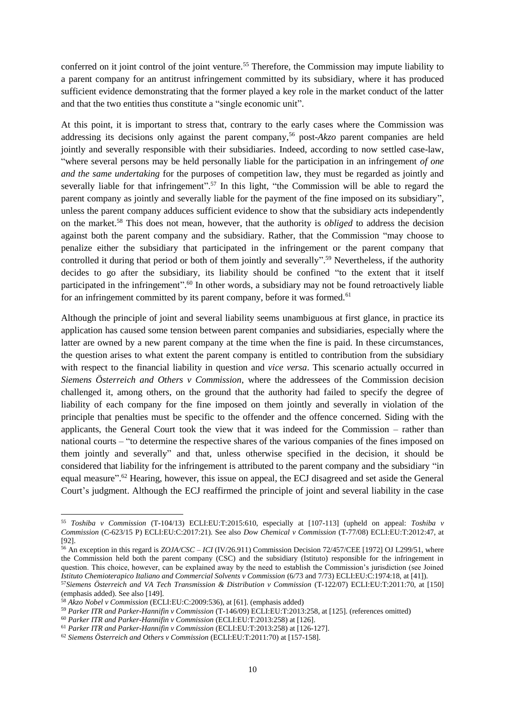conferred on it joint control of the joint venture.<sup>55</sup> Therefore, the Commission may impute liability to a parent company for an antitrust infringement committed by its subsidiary, where it has produced sufficient evidence demonstrating that the former played a key role in the market conduct of the latter and that the two entities thus constitute a "single economic unit".

At this point, it is important to stress that, contrary to the early cases where the Commission was addressing its decisions only against the parent company,<sup>56</sup> post-*Akzo* parent companies are held jointly and severally responsible with their subsidiaries. Indeed, according to now settled case-law, "where several persons may be held personally liable for the participation in an infringement *of one and the same undertaking* for the purposes of competition law, they must be regarded as jointly and severally liable for that infringement".<sup>57</sup> In this light, "the Commission will be able to regard the parent company as jointly and severally liable for the payment of the fine imposed on its subsidiary", unless the parent company adduces sufficient evidence to show that the subsidiary acts independently on the market.<sup>58</sup> This does not mean, however, that the authority is *obliged* to address the decision against both the parent company and the subsidiary. Rather, that the Commission "may choose to penalize either the subsidiary that participated in the infringement or the parent company that controlled it during that period or both of them jointly and severally". <sup>59</sup> Nevertheless, if the authority decides to go after the subsidiary, its liability should be confined "to the extent that it itself participated in the infringement".<sup>60</sup> In other words, a subsidiary may not be found retroactively liable for an infringement committed by its parent company, before it was formed.<sup>61</sup>

<span id="page-10-1"></span><span id="page-10-0"></span>Although the principle of joint and several liability seems unambiguous at first glance, in practice its application has caused some tension between parent companies and subsidiaries, especially where the latter are owned by a new parent company at the time when the fine is paid. In these circumstances, the question arises to what extent the parent company is entitled to contribution from the subsidiary with respect to the financial liability in question and *vice versa*. This scenario actually occurred in *Siemens Österreich and Others v Commission*, where the addressees of the Commission decision challenged it, among others, on the ground that the authority had failed to specify the degree of liability of each company for the fine imposed on them jointly and severally in violation of the principle that penalties must be specific to the offender and the offence concerned. Siding with the applicants, the General Court took the view that it was indeed for the Commission – rather than national courts – "to determine the respective shares of the various companies of the fines imposed on them jointly and severally" and that, unless otherwise specified in the decision, it should be considered that liability for the infringement is attributed to the parent company and the subsidiary "in equal measure".<sup>62</sup> Hearing, however, this issue on appeal, the ECJ disagreed and set aside the General Court's judgment. Although the ECJ reaffirmed the principle of joint and several liability in the case

<sup>55</sup> *Toshiba v Commission* (T-104/13) ECLI:EU:T:2015:610, especially at [107-113] (upheld on appeal: *Toshiba v Commission* (C-623/15 P) ECLI:EU:C:2017:21). See also *Dow Chemical v Commission* (T-77/08) ECLI:EU:T:2012:47, at [92].

<sup>56</sup> An exception in this regard is *ZOJA/CSC – ICI* (IV/26.911) Commission Decision 72/457/CEE [1972] OJ L299/51, where the Commission held both the parent company (CSC) and the subsidiary (Istituto) responsible for the infringement in question. This choice, however, can be explained away by the need to establish the Commission's jurisdiction (see Joined *Istituto Chemioterapico Italiano and Commercial Solvents v Commission* (6/73 and 7/73) ECLI:EU:C:1974:18, at [41]).

<sup>57</sup>*Siemens Österreich and VA Tech Transmission & Distribution v Commission* (T-122/07) ECLI:EU:T:2011:70, at [150] (emphasis added). See also [149].

<sup>58</sup> *Akzo Nobel v Commission* (ECLI:EU:C:2009:536), at [61]. (emphasis added)

<sup>59</sup> *Parker ITR and Parker-Hannifin v Commission* (T-146/09) ECLI:EU:T:2013:258, at [125]. (references omitted)

<sup>60</sup> *Parker ITR and Parker-Hannifin v Commission* (ECLI:EU:T:2013:258) at [126].

<sup>61</sup> *Parker ITR and Parker-Hannifin v Commission* (ECLI:EU:T:2013:258) at [126-127].

<sup>62</sup> *Siemens Österreich and Others v Commission* (ECLI:EU:T:2011:70) at [157-158].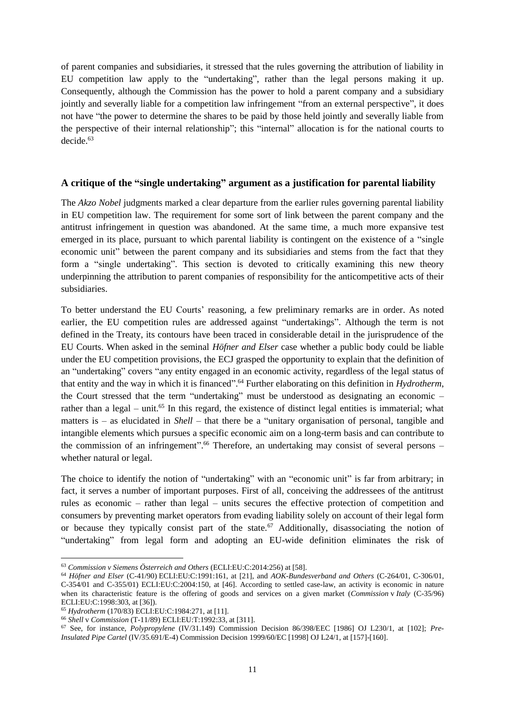of parent companies and subsidiaries, it stressed that the rules governing the attribution of liability in EU competition law apply to the "undertaking", rather than the legal persons making it up. Consequently, although the Commission has the power to hold a parent company and a subsidiary jointly and severally liable for a competition law infringement "from an external perspective", it does not have "the power to determine the shares to be paid by those held jointly and severally liable from the perspective of their internal relationship"; this "internal" allocation is for the national courts to decide.<sup>63</sup>

### **A critique of the "single undertaking" argument as a justification for parental liability**

The *Akzo Nobel* judgments marked a clear departure from the earlier rules governing parental liability in EU competition law. The requirement for some sort of link between the parent company and the antitrust infringement in question was abandoned. At the same time, a much more expansive test emerged in its place, pursuant to which parental liability is contingent on the existence of a "single economic unit" between the parent company and its subsidiaries and stems from the fact that they form a "single undertaking". This section is devoted to critically examining this new theory underpinning the attribution to parent companies of responsibility for the anticompetitive acts of their subsidiaries.

To better understand the EU Courts' reasoning, a few preliminary remarks are in order. As noted earlier, the EU competition rules are addressed against "undertakings". Although the term is not defined in the Treaty, its contours have been traced in considerable detail in the jurisprudence of the EU Courts. When asked in the seminal *Höfner and Elser* case whether a public body could be liable under the EU competition provisions, the ECJ grasped the opportunity to explain that the definition of an "undertaking" covers "any entity engaged in an economic activity, regardless of the legal status of that entity and the way in which it is financed". <sup>64</sup> Further elaborating on this definition in *Hydrotherm*, the Court stressed that the term "undertaking" must be understood as designating an economic – rather than a legal – unit.<sup>65</sup> In this regard, the existence of distinct legal entities is immaterial; what matters is – as elucidated in *Shell* – that there be a "unitary organisation of personal, tangible and intangible elements which pursues a specific economic aim on a long-term basis and can contribute to the commission of an infringement".<sup>66</sup> Therefore, an undertaking may consist of several persons whether natural or legal.

The choice to identify the notion of "undertaking" with an "economic unit" is far from arbitrary; in fact, it serves a number of important purposes. First of all, conceiving the addressees of the antitrust rules as economic – rather than legal – units secures the effective protection of competition and consumers by preventing market operators from evading liability solely on account of their legal form or because they typically consist part of the state.<sup>67</sup> Additionally, disassociating the notion of "undertaking" from legal form and adopting an EU-wide definition eliminates the risk of

<sup>63</sup> *Commission v Siemens Österreich and Others* (ECLI:EU:C:2014:256) at [58].

<sup>64</sup> *Höfner and Elser* (C-41/90) ECLI:EU:C:1991:161, at [21], and *AOK-Bundesverband and Others* (C-264/01, C-306/01, C-354/01 and C-355/01) ECLI:EU:C:2004:150, at [46]. According to settled case-law, an activity is economic in nature when its characteristic feature is the offering of goods and services on a given market (*Commission* v *Italy* (C-35/96) ECLI:EU:C:1998:303, at [36]).

<sup>65</sup> *Hydrotherm* (170/83) ECLI:EU:C:1984:271, at [11].

<sup>66</sup> *Shell* v *Commission* (T-11/89) ECLI:EU:T:1992:33, at [311].

<sup>67</sup> See, for instance, *Polypropylene* (IV/31.149) Commission Decision 86/398/EEC [1986] OJ L230/1, at [102]; *Pre-Insulated Pipe Cartel* (IV/35.691/E-4) Commission Decision 1999/60/EC [1998] OJ L24/1, at [157]-[160].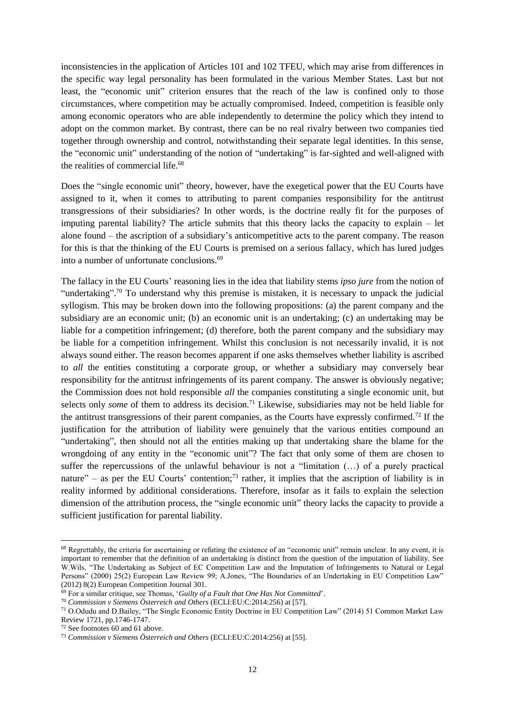inconsistencies in the application of Articles 101 and 102 TFEU, which may arise from differences in the specific way legal personality has been formulated in the various Member States. Last but not least, the "economic unit" criterion ensures that the reach of the law is confined only to those circumstances, where competition may be actually compromised. Indeed, competition is feasible only among economic operators who are able independently to determine the policy which they intend to adopt on the common market. By contrast, there can be no real rivalry between two companies tied together through ownership and control, notwithstanding their separate legal identities. In this sense, the "economic unit" understanding of the notion of "undertaking" is far-sighted and well-aligned with the realities of commercial life.<sup>68</sup>

Does the "single economic unit" theory, however, have the exegetical power that the EU Courts have assigned to it, when it comes to attributing to parent companies responsibility for the antitrust transgressions of their subsidiaries? In other words, is the doctrine really fit for the purposes of imputing parental liability? The article submits that this theory lacks the capacity to explain – let alone found – the ascription of a subsidiary's anticompetitive acts to the parent company. The reason for this is that the thinking of the EU Courts is premised on a serious fallacy, which has lured judges into a number of unfortunate conclusions. 69

The fallacy in the EU Courts' reasoning lies in the idea that liability stems *ipso jure* from the notion of "undertaking".<sup>70</sup> To understand why this premise is mistaken, it is necessary to unpack the judicial syllogism. This may be broken down into the following propositions: (a) the parent company and the subsidiary are an economic unit; (b) an economic unit is an undertaking; (c) an undertaking may be liable for a competition infringement; (d) therefore, both the parent company and the subsidiary may be liable for a competition infringement. Whilst this conclusion is not necessarily invalid, it is not always sound either. The reason becomes apparent if one asks themselves whether liability is ascribed to *all* the entities constituting a corporate group, or whether a subsidiary may conversely bear responsibility for the antitrust infringements of its parent company. The answer is obviously negative; the Commission does not hold responsible *all* the companies constituting a single economic unit, but selects only *some* of them to address its decision.<sup>71</sup> Likewise, subsidiaries may not be held liable for the antitrust transgressions of their parent companies, as the Courts have expressly confirmed.<sup>72</sup> If the justification for the attribution of liability were genuinely that the various entities compound an "undertaking", then should not all the entities making up that undertaking share the blame for the wrongdoing of any entity in the "economic unit"? The fact that only some of them are chosen to suffer the repercussions of the unlawful behaviour is not a "limitation (…) of a purely practical nature" – as per the EU Courts' contention;<sup>73</sup> rather, it implies that the ascription of liability is in reality informed by additional considerations. Therefore, insofar as it fails to explain the selection dimension of the attribution process, the "single economic unit" theory lacks the capacity to provide a sufficient justification for parental liability.

**.** 

<sup>&</sup>lt;sup>68</sup> Regrettably, the criteria for ascertaining or refuting the existence of an "economic unit" remain unclear. In any event, it is important to remember that the definition of an undertaking is distinct from the question of the imputation of liability. See W.Wils, "The Undertaking as Subject of EC Competition Law and the Imputation of Infringements to Natural or Legal Persons" (2000) 25(2) European Law Review 99; A.Jones, "The Boundaries of an Undertaking in EU Competition Law" (2012) 8(2) European Competition Journal 301.

<sup>69</sup> For a similar critique, see Thomas, '*Guilty of a Fault that One Has Not Committed*'.

<sup>70</sup> *Commission v Siemens Österreich and Others* (ECLI:EU:C:2014:256) at [57].

<sup>71</sup> O.Odudu and D.Bailey, "The Single Economic Entity Doctrine in EU Competition Law" (2014) 51 Common Market Law Review 1721, pp.1746-1747.

<sup>72</sup> See footnotes [60](#page-10-0) an[d 61](#page-10-1) above.

<sup>73</sup> *Commission v Siemens Österreich and Others* (ECLI:EU:C:2014:256) at [55].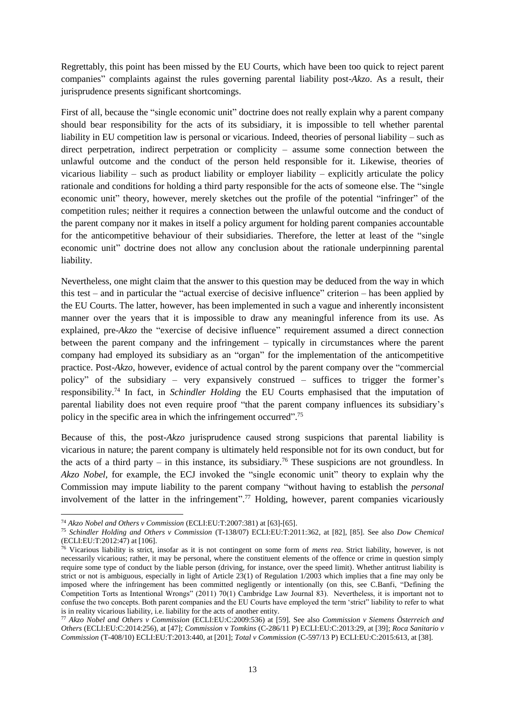Regrettably, this point has been missed by the EU Courts, which have been too quick to reject parent companies" complaints against the rules governing parental liability post-*Akzo*. As a result, their jurisprudence presents significant shortcomings.

First of all, because the "single economic unit" doctrine does not really explain why a parent company should bear responsibility for the acts of its subsidiary, it is impossible to tell whether parental liability in EU competition law is personal or vicarious. Indeed, theories of personal liability – such as direct perpetration, indirect perpetration or complicity – assume some connection between the unlawful outcome and the conduct of the person held responsible for it. Likewise, theories of vicarious liability – such as product liability or employer liability – explicitly articulate the policy rationale and conditions for holding a third party responsible for the acts of someone else. The "single economic unit" theory, however, merely sketches out the profile of the potential "infringer" of the competition rules; neither it requires a connection between the unlawful outcome and the conduct of the parent company nor it makes in itself a policy argument for holding parent companies accountable for the anticompetitive behaviour of their subsidiaries. Therefore, the letter at least of the "single economic unit" doctrine does not allow any conclusion about the rationale underpinning parental liability.

Nevertheless, one might claim that the answer to this question may be deduced from the way in which this test – and in particular the "actual exercise of decisive influence" criterion – has been applied by the EU Courts. The latter, however, has been implemented in such a vague and inherently inconsistent manner over the years that it is impossible to draw any meaningful inference from its use. As explained, pre-*Akzo* the "exercise of decisive influence" requirement assumed a direct connection between the parent company and the infringement – typically in circumstances where the parent company had employed its subsidiary as an "organ" for the implementation of the anticompetitive practice. Post-*Akzo*, however, evidence of actual control by the parent company over the "commercial policy" of the subsidiary – very expansively construed – suffices to trigger the former's responsibility. <sup>74</sup> In fact, in *Schindler Holding* the EU Courts emphasised that the imputation of parental liability does not even require proof "that the parent company influences its subsidiary's policy in the specific area in which the infringement occurred".<sup>75</sup>

Because of this, the post-*Akzo* jurisprudence caused strong suspicions that parental liability is vicarious in nature; the parent company is ultimately held responsible not for its own conduct, but for the acts of a third party – in this instance, its subsidiary.<sup>76</sup> These suspicions are not groundless. In *Akzo Nobel*, for example, the ECJ invoked the "single economic unit" theory to explain why the Commission may impute liability to the parent company "without having to establish the *personal* involvement of the latter in the infringement".<sup>77</sup> Holding, however, parent companies vicariously

<sup>74</sup> *Akzo Nobel and Others v Commission* (ECLI:EU:T:2007:381) at [63]-[65].

<sup>75</sup> *Schindler Holding and Others v Commission* (T-138/07) ECLI:EU:T:2011:362, at [82], [85]. See also *Dow Chemical*  (ECLI:EU:T:2012:47) at [106].

<sup>76</sup> Vicarious liability is strict, insofar as it is not contingent on some form of *mens rea*. Strict liability, however, is not necessarily vicarious; rather, it may be personal, where the constituent elements of the offence or crime in question simply require some type of conduct by the liable person (driving, for instance, over the speed limit). Whether antitrust liability is strict or not is ambiguous, especially in light of Article 23(1) of Regulation 1/2003 which implies that a fine may only be imposed where the infringement has been committed negligently or intentionally (on this, see C.Banfi, "Defining the Competition Torts as Intentional Wrongs" (2011) 70(1) Cambridge Law Journal 83). Nevertheless, it is important not to confuse the two concepts. Both parent companies and the EU Courts have employed the term 'strict" liability to refer to what is in reality vicarious liability, i.e. liability for the acts of another entity.

<sup>77</sup> *Akzo Nobel and Others v Commission* (ECLI:EU:C:2009:536) at [59]. See also *Commission v Siemens Österreich and Others* (ECLI:EU:C:2014:256), at [47]; *Commission* v *Tomkins* (C-286/11 P) ECLI:EU:C:2013:29, at [39]; *Roca Sanitario v Commission* (T-408/10) ECLI:EU:T:2013:440, at [201]; *Total v Commission* (C-597/13 P) ECLI:EU:C:2015:613, at [38].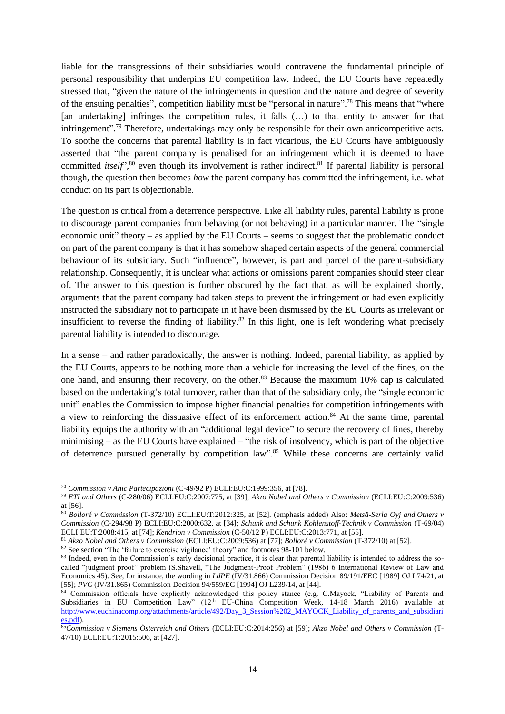<span id="page-14-1"></span><span id="page-14-0"></span>liable for the transgressions of their subsidiaries would contravene the fundamental principle of personal responsibility that underpins EU competition law. Indeed, the EU Courts have repeatedly stressed that, "given the nature of the infringements in question and the nature and degree of severity of the ensuing penalties", competition liability must be "personal in nature".<sup>78</sup> This means that "where [an undertaking] infringes the competition rules, it falls (…) to that entity to answer for that infringement".<sup>79</sup> Therefore, undertakings may only be responsible for their own anticompetitive acts. To soothe the concerns that parental liability is in fact vicarious, the EU Courts have ambiguously asserted that "the parent company is penalised for an infringement which it is deemed to have committed *itself*<sup>", 80</sup> even though its involvement is rather indirect.<sup>81</sup> If parental liability is personal though, the question then becomes *how* the parent company has committed the infringement, i.e. what conduct on its part is objectionable.

The question is critical from a deterrence perspective. Like all liability rules, parental liability is prone to discourage parent companies from behaving (or not behaving) in a particular manner. The "single economic unit" theory – as applied by the EU Courts – seems to suggest that the problematic conduct on part of the parent company is that it has somehow shaped certain aspects of the general commercial behaviour of its subsidiary. Such "influence", however, is part and parcel of the parent-subsidiary relationship. Consequently, it is unclear what actions or omissions parent companies should steer clear of. The answer to this question is further obscured by the fact that, as will be explained shortly, arguments that the parent company had taken steps to prevent the infringement or had even explicitly instructed the subsidiary not to participate in it have been dismissed by the EU Courts as irrelevant or insufficient to reverse the finding of liability.<sup>82</sup> In this light, one is left wondering what precisely parental liability is intended to discourage.

In a sense – and rather paradoxically, the answer is nothing. Indeed, parental liability, as applied by the EU Courts, appears to be nothing more than a vehicle for increasing the level of the fines, on the one hand, and ensuring their recovery, on the other.<sup>83</sup> Because the maximum 10% cap is calculated based on the undertaking's total turnover, rather than that of the subsidiary only, the "single economic unit" enables the Commission to impose higher financial penalties for competition infringements with a view to reinforcing the dissuasive effect of its enforcement action.<sup>84</sup> At the same time, parental liability equips the authority with an "additional legal device" to secure the recovery of fines, thereby minimising – as the EU Courts have explained – "the risk of insolvency, which is part of the objective of deterrence pursued generally by competition law".<sup>85</sup> While these concerns are certainly valid

**.** 

<sup>78</sup> *Commission v Anic Partecipazioni* (C-49/92 P) ECLI:EU:C:1999:356, at [78].

<sup>79</sup> *ETI and Others* (C-280/06) ECLI:EU:C:2007:775, at [39]; *Akzo Nobel and Others v Commission* (ECLI:EU:C:2009:536) at [56].

<sup>80</sup> *Bolloré v Commission* (T-372/10) ECLI:EU:T:2012:325, at [52]. (emphasis added) Also: *Metsä-Serla Oyj and Others v Commission* (C-294/98 P) ECLI:EU:C:2000:632, at [34]; *Schunk and Schunk Kohlenstoff-Technik v Commission* (T-69/04) ECLI:EU:T:2008:415, at [74]; *Kendrion v Commission* (C-50/12 P) ECLI:EU:C:2013:771, at [55].

<sup>81</sup> *Akzo Nobel and Others v Commission* (ECLI:EU:C:2009:536) at [77]; *Bolloré v Commission* (T-372/10) at [52].

<sup>&</sup>lt;sup>82</sup> See section "The 'failure to exercise vigilance' theory" and footnotes [98](#page-18-0)[-101](#page-18-1) below.

<sup>&</sup>lt;sup>83</sup> Indeed, even in the Commission's early decisional practice, it is clear that parental liability is intended to address the socalled "judgment proof" problem (S.Shavell, "The Judgment-Proof Problem" (1986) 6 International Review of Law and Economics 45). See, for instance, the wording in *LdPE* (IV/31.866) Commission Decision 89/191/EEC [1989] OJ L74/21, at [55]; *PVC* (IV/31.865) Commission Decision 94/559/EC [1994] OJ L239/14, at [44].

<sup>84</sup> Commission officials have explicitly acknowledged this policy stance (e.g. C.Mayock, "Liability of Parents and Subsidiaries in EU Competition Law" (12<sup>th</sup> EU-China Competition Week, 14-18 March 2016) available at [http://www.euchinacomp.org/attachments/article/492/Day\\_3\\_Session%202\\_MAYOCK\\_Liability\\_of\\_parents\\_and\\_subsidiari](http://www.euchinacomp.org/attachments/article/492/Day_3_Session%202_MAYOCK_Liability_of_parents_and_subsidiaries.pdf) [es.pdf\)](http://www.euchinacomp.org/attachments/article/492/Day_3_Session%202_MAYOCK_Liability_of_parents_and_subsidiaries.pdf).

<sup>85</sup>*Commission v Siemens Österreich and Others* (ECLI:EU:C:2014:256) at [59]; *Akzo Nobel and Others v Commission* (T-47/10) ECLI:EU:T:2015:506, at [427].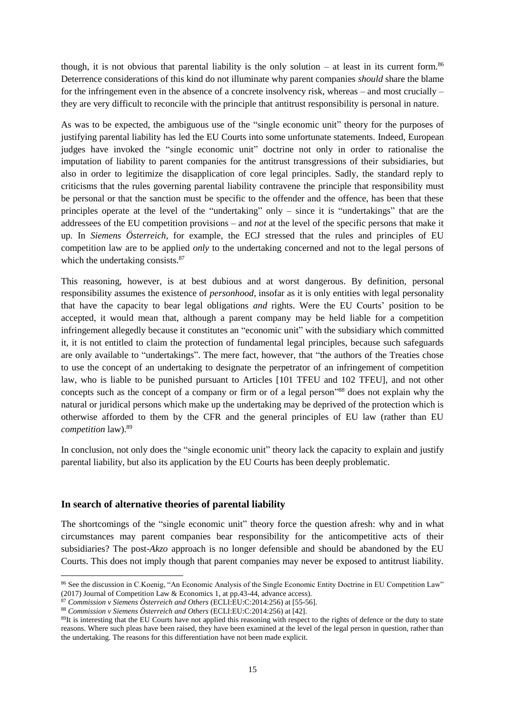though, it is not obvious that parental liability is the only solution – at least in its current form.<sup>86</sup> Deterrence considerations of this kind do not illuminate why parent companies *should* share the blame for the infringement even in the absence of a concrete insolvency risk, whereas – and most crucially – they are very difficult to reconcile with the principle that antitrust responsibility is personal in nature.

As was to be expected, the ambiguous use of the "single economic unit" theory for the purposes of justifying parental liability has led the EU Courts into some unfortunate statements. Indeed, European judges have invoked the "single economic unit" doctrine not only in order to rationalise the imputation of liability to parent companies for the antitrust transgressions of their subsidiaries, but also in order to legitimize the disapplication of core legal principles. Sadly, the standard reply to criticisms that the rules governing parental liability contravene the principle that responsibility must be personal or that the sanction must be specific to the offender and the offence, has been that these principles operate at the level of the "undertaking" only – since it is "undertakings" that are the addressees of the EU competition provisions – and *not* at the level of the specific persons that make it up. In *Siemens Österreich*, for example, the ECJ stressed that the rules and principles of EU competition law are to be applied *only* to the undertaking concerned and not to the legal persons of which the undertaking consists.<sup>87</sup>

This reasoning, however, is at best dubious and at worst dangerous. By definition, personal responsibility assumes the existence of *personhood*, insofar as it is only entities with legal personality that have the capacity to bear legal obligations *and* rights. Were the EU Courts' position to be accepted, it would mean that, although a parent company may be held liable for a competition infringement allegedly because it constitutes an "economic unit" with the subsidiary which committed it, it is not entitled to claim the protection of fundamental legal principles, because such safeguards are only available to "undertakings". The mere fact, however, that "the authors of the Treaties chose to use the concept of an undertaking to designate the perpetrator of an infringement of competition law, who is liable to be punished pursuant to Articles [101 TFEU and 102 TFEU], and not other concepts such as the concept of a company or firm or of a legal person"<sup>88</sup> does not explain why the natural or juridical persons which make up the undertaking may be deprived of the protection which is otherwise afforded to them by the CFR and the general principles of EU law (rather than EU *competition* law).<sup>89</sup>

In conclusion, not only does the "single economic unit" theory lack the capacity to explain and justify parental liability, but also its application by the EU Courts has been deeply problematic.

#### **In search of alternative theories of parental liability**

 $\overline{a}$ 

The shortcomings of the "single economic unit" theory force the question afresh: why and in what circumstances may parent companies bear responsibility for the anticompetitive acts of their subsidiaries? The post-*Akzo* approach is no longer defensible and should be abandoned by the EU Courts. This does not imply though that parent companies may never be exposed to antitrust liability.

<sup>86</sup> See the discussion in C.Koenig, "An Economic Analysis of the Single Economic Entity Doctrine in EU Competition Law" (2017) Journal of Competition Law & Economics 1, at pp.43-44, advance access).

<sup>87</sup> *Commission v Siemens Österreich and Others* (ECLI:EU:C:2014:256) at [55-56].

<sup>88</sup> *Commission v Siemens Österreich and Others* (ECLI:EU:C:2014:256) at [42].

<sup>&</sup>lt;sup>89</sup>It is interesting that the EU Courts have not applied this reasoning with respect to the rights of defence or the duty to state reasons. Where such pleas have been raised, they have been examined at the level of the legal person in question, rather than the undertaking. The reasons for this differentiation have not been made explicit.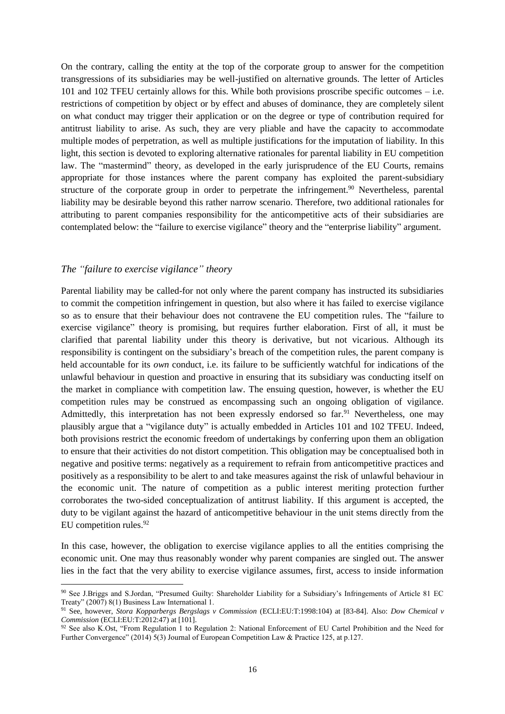On the contrary, calling the entity at the top of the corporate group to answer for the competition transgressions of its subsidiaries may be well-justified on alternative grounds. The letter of Articles 101 and 102 TFEU certainly allows for this. While both provisions proscribe specific outcomes – i.e. restrictions of competition by object or by effect and abuses of dominance, they are completely silent on what conduct may trigger their application or on the degree or type of contribution required for antitrust liability to arise. As such, they are very pliable and have the capacity to accommodate multiple modes of perpetration, as well as multiple justifications for the imputation of liability. In this light, this section is devoted to exploring alternative rationales for parental liability in EU competition law. The "mastermind" theory, as developed in the early jurisprudence of the EU Courts, remains appropriate for those instances where the parent company has exploited the parent-subsidiary structure of the corporate group in order to perpetrate the infringement.<sup>90</sup> Nevertheless, parental liability may be desirable beyond this rather narrow scenario. Therefore, two additional rationales for attributing to parent companies responsibility for the anticompetitive acts of their subsidiaries are contemplated below: the "failure to exercise vigilance" theory and the "enterprise liability" argument.

#### *The "failure to exercise vigilance" theory*

**.** 

Parental liability may be called-for not only where the parent company has instructed its subsidiaries to commit the competition infringement in question, but also where it has failed to exercise vigilance so as to ensure that their behaviour does not contravene the EU competition rules. The "failure to exercise vigilance" theory is promising, but requires further elaboration. First of all, it must be clarified that parental liability under this theory is derivative, but not vicarious. Although its responsibility is contingent on the subsidiary's breach of the competition rules, the parent company is held accountable for its *own* conduct, i.e. its failure to be sufficiently watchful for indications of the unlawful behaviour in question and proactive in ensuring that its subsidiary was conducting itself on the market in compliance with competition law. The ensuing question, however, is whether the EU competition rules may be construed as encompassing such an ongoing obligation of vigilance. Admittedly, this interpretation has not been expressly endorsed so far.<sup>91</sup> Nevertheless, one may plausibly argue that a "vigilance duty" is actually embedded in Articles 101 and 102 TFEU. Indeed, both provisions restrict the economic freedom of undertakings by conferring upon them an obligation to ensure that their activities do not distort competition. This obligation may be conceptualised both in negative and positive terms: negatively as a requirement to refrain from anticompetitive practices and positively as a responsibility to be alert to and take measures against the risk of unlawful behaviour in the economic unit. The nature of competition as a public interest meriting protection further corroborates the two-sided conceptualization of antitrust liability. If this argument is accepted, the duty to be vigilant against the hazard of anticompetitive behaviour in the unit stems directly from the EU competition rules. $92$ 

In this case, however, the obligation to exercise vigilance applies to all the entities comprising the economic unit. One may thus reasonably wonder why parent companies are singled out. The answer lies in the fact that the very ability to exercise vigilance assumes, first, access to inside information

<sup>90</sup> See J.Briggs and S.Jordan, "Presumed Guilty: Shareholder Liability for a Subsidiary's Infringements of Article 81 EC Treaty" (2007) 8(1) Business Law International 1.

<sup>91</sup> See, however, *Stora Kopparbergs Bergslags v Commission* (ECLI:EU:T:1998:104) at [83-84]. Also: *Dow Chemical v Commission* (ECLI:EU:T:2012:47) at [101].

<sup>92</sup> See also K.Ost, "From Regulation 1 to Regulation 2: National Enforcement of EU Cartel Prohibition and the Need for Further Convergence" (2014) 5(3) Journal of European Competition Law & Practice 125, at p.127.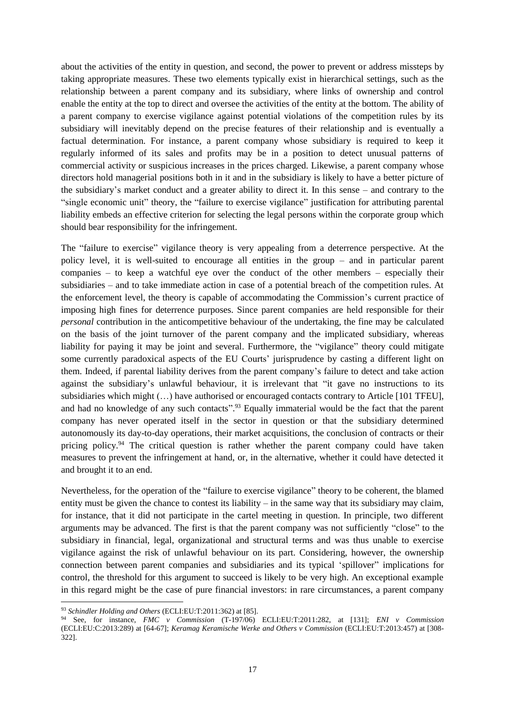about the activities of the entity in question, and second, the power to prevent or address missteps by taking appropriate measures. These two elements typically exist in hierarchical settings, such as the relationship between a parent company and its subsidiary, where links of ownership and control enable the entity at the top to direct and oversee the activities of the entity at the bottom. The ability of a parent company to exercise vigilance against potential violations of the competition rules by its subsidiary will inevitably depend on the precise features of their relationship and is eventually a factual determination. For instance, a parent company whose subsidiary is required to keep it regularly informed of its sales and profits may be in a position to detect unusual patterns of commercial activity or suspicious increases in the prices charged. Likewise, a parent company whose directors hold managerial positions both in it and in the subsidiary is likely to have a better picture of the subsidiary's market conduct and a greater ability to direct it. In this sense – and contrary to the "single economic unit" theory, the "failure to exercise vigilance" justification for attributing parental liability embeds an effective criterion for selecting the legal persons within the corporate group which should bear responsibility for the infringement.

The "failure to exercise" vigilance theory is very appealing from a deterrence perspective. At the policy level, it is well-suited to encourage all entities in the group – and in particular parent companies – to keep a watchful eye over the conduct of the other members – especially their subsidiaries – and to take immediate action in case of a potential breach of the competition rules. At the enforcement level, the theory is capable of accommodating the Commission's current practice of imposing high fines for deterrence purposes. Since parent companies are held responsible for their *personal* contribution in the anticompetitive behaviour of the undertaking, the fine may be calculated on the basis of the joint turnover of the parent company and the implicated subsidiary, whereas liability for paying it may be joint and several. Furthermore, the "vigilance" theory could mitigate some currently paradoxical aspects of the EU Courts' jurisprudence by casting a different light on them. Indeed, if parental liability derives from the parent company's failure to detect and take action against the subsidiary's unlawful behaviour, it is irrelevant that "it gave no instructions to its subsidiaries which might (...) have authorised or encouraged contacts contrary to Article [101 TFEU], and had no knowledge of any such contacts".<sup>93</sup> Equally immaterial would be the fact that the parent company has never operated itself in the sector in question or that the subsidiary determined autonomously its day-to-day operations, their market acquisitions, the conclusion of contracts or their pricing policy.<sup>94</sup> The critical question is rather whether the parent company could have taken measures to prevent the infringement at hand, or, in the alternative, whether it could have detected it and brought it to an end.

Nevertheless, for the operation of the "failure to exercise vigilance" theory to be coherent, the blamed entity must be given the chance to contest its liability – in the same way that its subsidiary may claim, for instance, that it did not participate in the cartel meeting in question. In principle, two different arguments may be advanced. The first is that the parent company was not sufficiently "close" to the subsidiary in financial, legal, organizational and structural terms and was thus unable to exercise vigilance against the risk of unlawful behaviour on its part. Considering, however, the ownership connection between parent companies and subsidiaries and its typical 'spillover" implications for control, the threshold for this argument to succeed is likely to be very high. An exceptional example in this regard might be the case of pure financial investors: in rare circumstances, a parent company

1

<sup>93</sup> *Schindler Holding and Others* (ECLI:EU:T:2011:362) at [85].

<sup>94</sup> See, for instance, *FMC v Commission* (T-197/06) ECLI:EU:T:2011:282, at [131]; *ENI v Commission* (ECLI:EU:C:2013:289) at [64-67]; *Keramag Keramische Werke and Others v Commission* (ECLI:EU:T:2013:457) at [308- 322].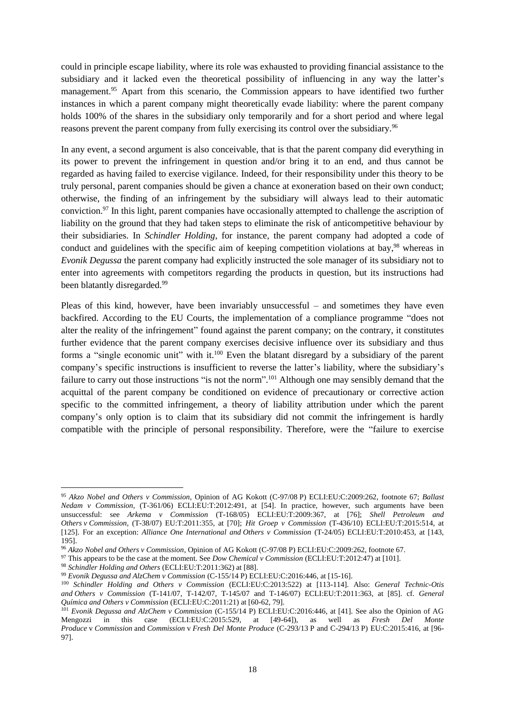could in principle escape liability, where its role was exhausted to providing financial assistance to the subsidiary and it lacked even the theoretical possibility of influencing in any way the latter's management.<sup>95</sup> Apart from this scenario, the Commission appears to have identified two further instances in which a parent company might theoretically evade liability: where the parent company holds 100% of the shares in the subsidiary only temporarily and for a short period and where legal reasons prevent the parent company from fully exercising its control over the subsidiary.<sup>96</sup>

In any event, a second argument is also conceivable, that is that the parent company did everything in its power to prevent the infringement in question and/or bring it to an end, and thus cannot be regarded as having failed to exercise vigilance. Indeed, for their responsibility under this theory to be truly personal, parent companies should be given a chance at exoneration based on their own conduct; otherwise, the finding of an infringement by the subsidiary will always lead to their automatic conviction.<sup>97</sup> In this light, parent companies have occasionally attempted to challenge the ascription of liability on the ground that they had taken steps to eliminate the risk of anticompetitive behaviour by their subsidiaries. In *Schindler Holding*, for instance, the parent company had adopted a code of conduct and guidelines with the specific aim of keeping competition violations at bay,<sup>98</sup> whereas in *Evonik Degussa* the parent company had explicitly instructed the sole manager of its subsidiary not to enter into agreements with competitors regarding the products in question, but its instructions had been blatantly disregarded.<sup>99</sup>

<span id="page-18-1"></span><span id="page-18-0"></span>Pleas of this kind, however, have been invariably unsuccessful – and sometimes they have even backfired. According to the EU Courts, the implementation of a compliance programme "does not alter the reality of the infringement" found against the parent company; on the contrary, it constitutes further evidence that the parent company exercises decisive influence over its subsidiary and thus forms a "single economic unit" with it.<sup>100</sup> Even the blatant disregard by a subsidiary of the parent company's specific instructions is insufficient to reverse the latter's liability, where the subsidiary's failure to carry out those instructions "is not the norm".<sup>101</sup> Although one may sensibly demand that the acquittal of the parent company be conditioned on evidence of precautionary or corrective action specific to the committed infringement, a theory of liability attribution under which the parent company's only option is to claim that its subsidiary did not commit the infringement is hardly compatible with the principle of personal responsibility. Therefore, were the "failure to exercise

<sup>95</sup> *Akzo Nobel and Others v Commission*, Opinion of AG Kokott (C-97/08 P) ECLI:EU:C:2009:262, footnote 67; *Ballast Nedam v Commission*, (T-361/06) ECLI:EU:T:2012:491, at [54]. In practice, however, such arguments have been unsuccessful: see *Arkema v Commission* (T-168/05) ECLI:EU:T:2009:367, at [76]; *Shell Petroleum and Others v Commission*, (T-38/07) EU:T:2011:355, at [70]; *Hit Groep v Commission* (T-436/10) ECLI:EU:T:2015:514, at [125]. For an exception: *Alliance One International and Others v Commission* (T-24/05) ECLI:EU:T:2010:453, at [143, 195].

<sup>96</sup> *Akzo Nobel and Others v Commission*, Opinion of AG Kokott (C-97/08 P) ECLI:EU:C:2009:262, footnote 67.

<sup>97</sup> This appears to be the case at the moment. See *Dow Chemical v Commission* (ECLI:EU:T:2012:47) at [101].

<sup>98</sup> *Schindler Holding and Others* (ECLI:EU:T:2011:362) at [88].

<sup>99</sup> *Evonik Degussa and AlzChem v Commission* (C-155/14 P) ECLI:EU:C:2016:446, at [15-16].

<sup>100</sup> *Schindler Holding and Others v Commission* (ECLI:EU:C:2013:522) at [113-114]. Also: *General Technic-Otis and Others v Commission* (T-141/07, T-142/07, T-145/07 and T-146/07) ECLI:EU:T:2011:363, at [85]. cf. *General Química and Others v Commission* (ECLI:EU:C:2011:21) at [60-62, 79].

<sup>101</sup> *Evonik Degussa and AlzChem v Commission* (C-155/14 P) ECLI:EU:C:2016:446, at [41]. See also the Opinion of AG Mengozzi in this case (ECLI:EU:C:2015:529, at [49-64]), as well as *Fresh Del Monte Produce* v *Commission* and *Commission* v *Fresh Del Monte Produce* (C-293/13 P and C-294/13 P) EU:C:2015:416, at [96- 97].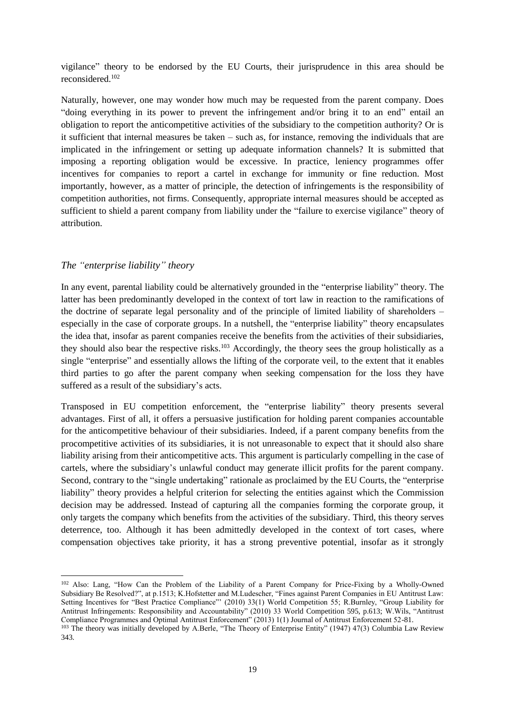vigilance" theory to be endorsed by the EU Courts, their jurisprudence in this area should be reconsidered.<sup>102</sup>

Naturally, however, one may wonder how much may be requested from the parent company. Does "doing everything in its power to prevent the infringement and/or bring it to an end" entail an obligation to report the anticompetitive activities of the subsidiary to the competition authority? Or is it sufficient that internal measures be taken – such as, for instance, removing the individuals that are implicated in the infringement or setting up adequate information channels? It is submitted that imposing a reporting obligation would be excessive. In practice, leniency programmes offer incentives for companies to report a cartel in exchange for immunity or fine reduction. Most importantly, however, as a matter of principle, the detection of infringements is the responsibility of competition authorities, not firms. Consequently, appropriate internal measures should be accepted as sufficient to shield a parent company from liability under the "failure to exercise vigilance" theory of attribution.

### *The "enterprise liability" theory*

 $\overline{a}$ 

In any event, parental liability could be alternatively grounded in the "enterprise liability" theory. The latter has been predominantly developed in the context of tort law in reaction to the ramifications of the doctrine of separate legal personality and of the principle of limited liability of shareholders – especially in the case of corporate groups. In a nutshell, the "enterprise liability" theory encapsulates the idea that, insofar as parent companies receive the benefits from the activities of their subsidiaries, they should also bear the respective risks.<sup>103</sup> Accordingly, the theory sees the group holistically as a single "enterprise" and essentially allows the lifting of the corporate veil, to the extent that it enables third parties to go after the parent company when seeking compensation for the loss they have suffered as a result of the subsidiary's acts.

Transposed in EU competition enforcement, the "enterprise liability" theory presents several advantages. First of all, it offers a persuasive justification for holding parent companies accountable for the anticompetitive behaviour of their subsidiaries. Indeed, if a parent company benefits from the procompetitive activities of its subsidiaries, it is not unreasonable to expect that it should also share liability arising from their anticompetitive acts. This argument is particularly compelling in the case of cartels, where the subsidiary's unlawful conduct may generate illicit profits for the parent company. Second, contrary to the "single undertaking" rationale as proclaimed by the EU Courts, the "enterprise liability" theory provides a helpful criterion for selecting the entities against which the Commission decision may be addressed. Instead of capturing all the companies forming the corporate group, it only targets the company which benefits from the activities of the subsidiary. Third, this theory serves deterrence, too. Although it has been admittedly developed in the context of tort cases, where compensation objectives take priority, it has a strong preventive potential, insofar as it strongly

<sup>102</sup> Also: Lang, "How Can the Problem of the Liability of a Parent Company for Price-Fixing by a Wholly-Owned Subsidiary Be Resolved?", at p.1513; K.Hofstetter and M.Ludescher, "Fines against Parent Companies in EU Antitrust Law: Setting Incentives for "Best Practice Compliance"' (2010) 33(1) World Competition 55; R.Burnley, "Group Liability for Antitrust Infringements: Responsibility and Accountability" (2010) 33 World Competition 595, p.613; W.Wils, "Antitrust Compliance Programmes and Optimal Antitrust Enforcement" (2013) 1(1) Journal of Antitrust Enforcement 52-81.

<sup>103</sup> The theory was initially developed by A.Berle, "The Theory of Enterprise Entity" (1947) 47(3) Columbia Law Review 343.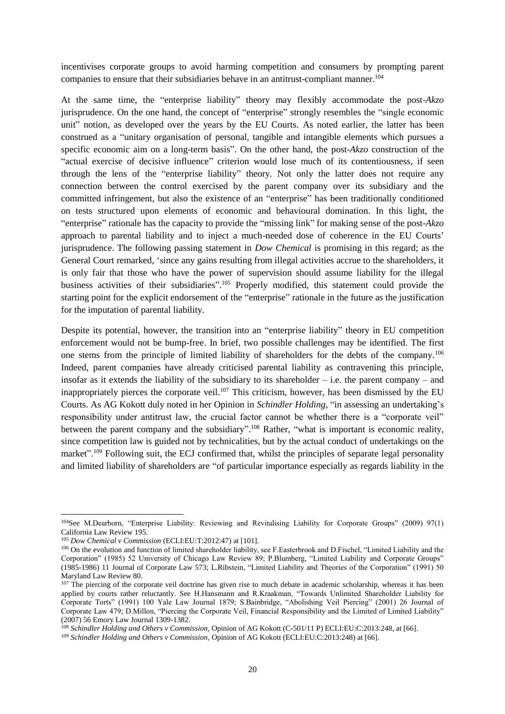incentivises corporate groups to avoid harming competition and consumers by prompting parent companies to ensure that their subsidiaries behave in an antitrust-compliant manner.<sup>104</sup>

At the same time, the "enterprise liability" theory may flexibly accommodate the post-*Akzo* jurisprudence. On the one hand, the concept of "enterprise" strongly resembles the "single economic unit" notion, as developed over the years by the EU Courts. As noted earlier, the latter has been construed as a "unitary organisation of personal, tangible and intangible elements which pursues a specific economic aim on a long-term basis". On the other hand, the post-*Akzo* construction of the "actual exercise of decisive influence" criterion would lose much of its contentiousness, if seen through the lens of the "enterprise liability" theory. Not only the latter does not require any connection between the control exercised by the parent company over its subsidiary and the committed infringement, but also the existence of an "enterprise" has been traditionally conditioned on tests structured upon elements of economic and behavioural domination. In this light, the "enterprise" rationale has the capacity to provide the "missing link" for making sense of the post-*Akzo* approach to parental liability and to inject a much-needed dose of coherence in the EU Courts' jurisprudence. The following passing statement in *Dow Chemical* is promising in this regard; as the General Court remarked, 'since any gains resulting from illegal activities accrue to the shareholders, it is only fair that those who have the power of supervision should assume liability for the illegal business activities of their subsidiaries".<sup>105</sup> Properly modified, this statement could provide the starting point for the explicit endorsement of the "enterprise" rationale in the future as the justification for the imputation of parental liability.

Despite its potential, however, the transition into an "enterprise liability" theory in EU competition enforcement would not be bump-free. In brief, two possible challenges may be identified. The first one stems from the principle of limited liability of shareholders for the debts of the company.<sup>106</sup> Indeed, parent companies have already criticised parental liability as contravening this principle, insofar as it extends the liability of the subsidiary to its shareholder  $-$  i.e. the parent company  $-$  and inappropriately pierces the corporate veil.<sup>107</sup> This criticism, however, has been dismissed by the EU Courts. As AG Kokott duly noted in her Opinion in *Schindler Holding*, "in assessing an undertaking's responsibility under antitrust law, the crucial factor cannot be whether there is a "corporate veil" between the parent company and the subsidiary".<sup>108</sup> Rather, "what is important is economic reality, since competition law is guided not by technicalities, but by the actual conduct of undertakings on the market".<sup>109</sup> Following suit, the ECJ confirmed that, whilst the principles of separate legal personality and limited liability of shareholders are "of particular importance especially as regards liability in the

<sup>104</sup>See M.Dearborn, "Enterprise Liability: Reviewing and Revitalising Liability for Corporate Groups" (2009) 97(1) California Law Review 195.

<sup>105</sup> *Dow Chemical v Commission* (ECLI:EU:T:2012:47) at [101].

<sup>106</sup> On the evolution and function of limited shareholder liability, see F.Easterbrook and D.Fischel, "Limited Liability and the Corporation" (1985) 52 University of Chicago Law Review 89; P.Blumberg, "Limited Liability and Corporate Groups" (1985-1986) 11 Journal of Corporate Law 573; L.Ribstein, "Limited Liability and Theories of the Corporation" (1991) 50 Maryland Law Review 80.

<sup>&</sup>lt;sup>107</sup> The piercing of the corporate veil doctrine has given rise to much debate in academic scholarship, whereas it has been applied by courts rather reluctantly. See H.Hansmann and R.Kraakman, "Towards Unlimited Shareholder Liability for Corporate Torts" (1991) 100 Yale Law Journal 1879; S.Bainbridge, "Abolishing Veil Piercing" (2001) 26 Journal of Corporate Law 479; D.Millon, "Piercing the Corporate Veil, Financial Responsibility and the Limited of Limited Liability" (2007) 56 Emory Law Journal 1309-1382.

<sup>108</sup> *Schindler Holding and Others v Commission,* Opinion of AG Kokott (C-501/11 P) ECLI:EU:C:2013:248, at [66].

<sup>109</sup> *Schindler Holding and Others v Commission,* Opinion of AG Kokott (ECLI:EU:C:2013:248) at [66].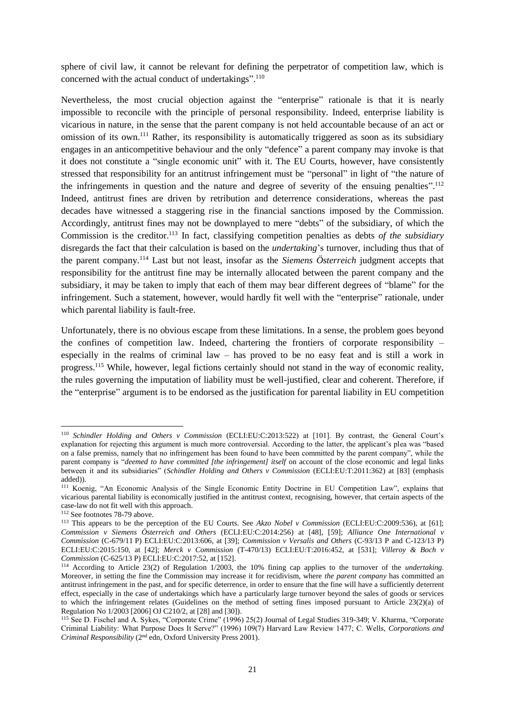sphere of civil law, it cannot be relevant for defining the perpetrator of competition law, which is concerned with the actual conduct of undertakings".<sup>110</sup>

Nevertheless, the most crucial objection against the "enterprise" rationale is that it is nearly impossible to reconcile with the principle of personal responsibility. Indeed, enterprise liability is vicarious in nature, in the sense that the parent company is not held accountable because of an act or omission of its own.<sup>111</sup> Rather, its responsibility is automatically triggered as soon as its subsidiary engages in an anticompetitive behaviour and the only "defence" a parent company may invoke is that it does not constitute a "single economic unit" with it. The EU Courts, however, have consistently stressed that responsibility for an antitrust infringement must be "personal" in light of "the nature of the infringements in question and the nature and degree of severity of the ensuing penalties".<sup>112</sup> Indeed, antitrust fines are driven by retribution and deterrence considerations, whereas the past decades have witnessed a staggering rise in the financial sanctions imposed by the Commission. Accordingly, antitrust fines may not be downplayed to mere "debts" of the subsidiary, of which the Commission is the creditor. <sup>113</sup> In fact, classifying competition penalties as debts *of the subsidiary* disregards the fact that their calculation is based on the *undertaking*'s turnover, including thus that of the parent company.<sup>114</sup> Last but not least, insofar as the *Siemens Österreich* judgment accepts that responsibility for the antitrust fine may be internally allocated between the parent company and the subsidiary, it may be taken to imply that each of them may bear different degrees of "blame" for the infringement. Such a statement, however, would hardly fit well with the "enterprise" rationale, under which parental liability is fault-free.

Unfortunately, there is no obvious escape from these limitations. In a sense, the problem goes beyond the confines of competition law. Indeed, chartering the frontiers of corporate responsibility – especially in the realms of criminal law – has proved to be no easy feat and is still a work in progress.<sup>115</sup> While, however, legal fictions certainly should not stand in the way of economic reality, the rules governing the imputation of liability must be well-justified, clear and coherent. Therefore, if the "enterprise" argument is to be endorsed as the justification for parental liability in EU competition

1

<sup>110</sup> *Schindler Holding and Others v Commission* (ECLI:EU:C:2013:522) at [101]. By contrast, the General Court's explanation for rejecting this argument is much more controversial. According to the latter, the applicant's plea was "based on a false premiss, namely that no infringement has been found to have been committed by the parent company", while the parent company is "*deemed to have committed [the infringement] itself* on account of the close economic and legal links between it and its subsidiaries" (*Schindler Holding and Others v Commission* (ECLI:EU:T:2011:362) at [83] (emphasis added)).

<sup>111</sup> Koenig, "An Economic Analysis of the Single Economic Entity Doctrine in EU Competition Law", explains that vicarious parental liability is economically justified in the antitrust context, recognising, however, that certain aspects of the case-law do not fit well with this approach.

<sup>112</sup> See footnotes [78](#page-14-0)[-79](#page-14-1) above.

<sup>113</sup> This appears to be the perception of the EU Courts. See *Akzo Nobel v Commission* (ECLI:EU:C:2009:536), at [61]; *Commission v Siemens Österreich and Others* (ECLI:EU:C:2014:256) at [48], [59]; *Alliance One International v Commission* (C-679/11 P) ECLI:EU:C:2013:606, at [39]; *Commission v Versalis and Others* (C-93/13 P and C-123/13 P) ECLI:EU:C:2015:150, at [42]; *Merck v Commission* (T-470/13) ECLI:EU:T:2016:452, at [531]; *Villeroy & Boch v Commission* (C-625/13 P) ECLI:EU:C:2017:52, at [152].

<sup>114</sup> According to Article 23(2) of Regulation 1/2003, the 10% fining cap applies to the turnover of the *undertaking*. Moreover, in setting the fine the Commission may increase it for recidivism, where *the parent company* has committed an antitrust infringement in the past, and for specific deterrence, in order to ensure that the fine will have a sufficiently deterrent effect, especially in the case of undertakings which have a particularly large turnover beyond the sales of goods or services to which the infringement relates (Guidelines on the method of setting fines imposed pursuant to Article 23(2)(a) of Regulation No 1/2003 [2006] OJ C210/2, at [28] and [30]).

<sup>115</sup> See D. Fischel and A. Sykes, "Corporate Crime" (1996) 25(2) Journal of Legal Studies 319-349; V. Kharma, "Corporate Criminal Liability: What Purpose Does It Serve?" (1996) 109(7) Harvard Law Review 1477; C. Wells, *Corporations and Criminal Responsibility* (2nd edn, Oxford University Press 2001).